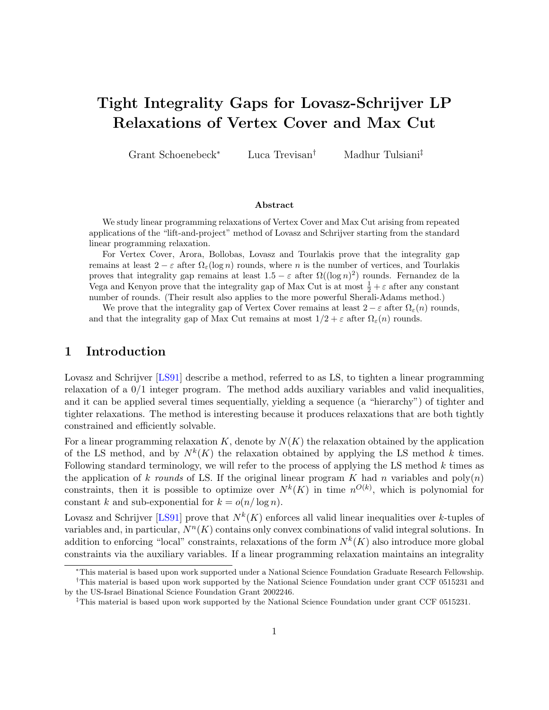# <span id="page-0-0"></span>Tight Integrality Gaps for Lovasz-Schrijver LP Relaxations of Vertex Cover and Max Cut

Grant Schoenebeck<sup>∗</sup> Luca Trevisan† Madhur Tulsiani‡

#### Abstract

We study linear programming relaxations of Vertex Cover and Max Cut arising from repeated applications of the "lift-and-project" method of Lovasz and Schrijver starting from the standard linear programming relaxation.

For Vertex Cover, Arora, Bollobas, Lovasz and Tourlakis prove that the integrality gap remains at least  $2 - \varepsilon$  after  $\Omega_{\varepsilon}(\log n)$  rounds, where n is the number of vertices, and Tourlakis proves that integrality gap remains at least  $1.5 - \varepsilon$  after  $\Omega((\log n)^2)$  rounds. Fernandez de la Vega and Kenyon prove that the integrality gap of Max Cut is at most  $\frac{1}{2} + \varepsilon$  after any constant number of rounds. (Their result also applies to the more powerful Sherali-Adams method.)

We prove that the integrality gap of Vertex Cover remains at least  $2 - \varepsilon$  after  $\Omega_{\varepsilon}(n)$  rounds, and that the integrality gap of Max Cut remains at most  $1/2 + \varepsilon$  after  $\Omega_{\varepsilon}(n)$  rounds.

# 1 Introduction

Lovasz and Schrijver [\[LS91\]](#page-25-0) describe a method, referred to as LS, to tighten a linear programming relaxation of a 0/1 integer program. The method adds auxiliary variables and valid inequalities, and it can be applied several times sequentially, yielding a sequence (a "hierarchy") of tighter and tighter relaxations. The method is interesting because it produces relaxations that are both tightly constrained and efficiently solvable.

For a linear programming relaxation  $K$ , denote by  $N(K)$  the relaxation obtained by the application of the LS method, and by  $N^k(K)$  the relaxation obtained by applying the LS method k times. Following standard terminology, we will refer to the process of applying the LS method  $k$  times as the application of k rounds of LS. If the original linear program K had n variables and  $poly(n)$ constraints, then it is possible to optimize over  $N^k(K)$  in time  $n^{O(k)}$ , which is polynomial for constant k and sub-exponential for  $k = o(n/\log n)$ .

Lovasz and Schrijver [\[LS91\]](#page-25-0) prove that  $N^k(K)$  enforces all valid linear inequalities over k-tuples of variables and, in particular,  $N^n(K)$  contains only convex combinations of valid integral solutions. In addition to enforcing "local" constraints, relaxations of the form  $N^k(K)$  also introduce more global constraints via the auxiliary variables. If a linear programming relaxation maintains an integrality

<sup>∗</sup>This material is based upon work supported under a National Science Foundation Graduate Research Fellowship. †This material is based upon work supported by the National Science Foundation under grant CCF 0515231 and

by the US-Israel Binational Science Foundation Grant 2002246.

<sup>‡</sup>This material is based upon work supported by the National Science Foundation under grant CCF 0515231.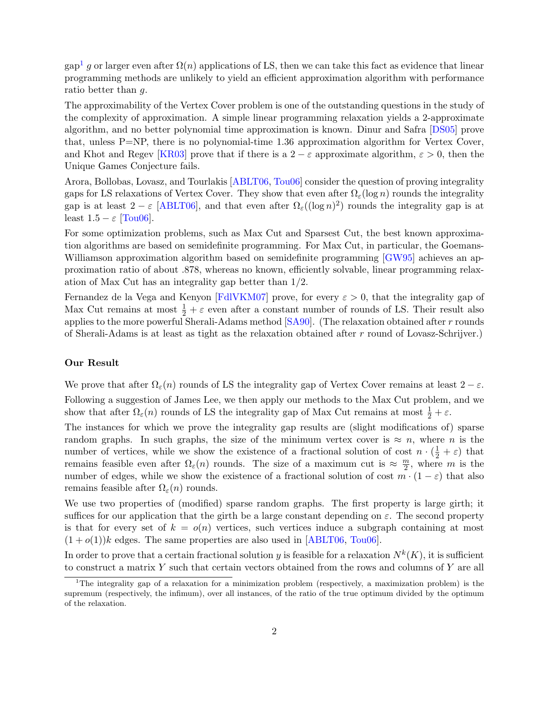<span id="page-1-1"></span> $\text{gap}^1$  $\text{gap}^1$  g or larger even after  $\Omega(n)$  applications of LS, then we can take this fact as evidence that linear programming methods are unlikely to yield an efficient approximation algorithm with performance ratio better than g.

The approximability of the Vertex Cover problem is one of the outstanding questions in the study of the complexity of approximation. A simple linear programming relaxation yields a 2-approximate algorithm, and no better polynomial time approximation is known. Dinur and Safra [\[DS05\]](#page-24-0) prove that, unless P=NP, there is no polynomial-time 1.36 approximation algorithm for Vertex Cover, and Khot and Regev [\[KR03\]](#page-25-1) prove that if there is a 2 –  $\varepsilon$  approximate algorithm,  $\varepsilon > 0$ , then the Unique Games Conjecture fails.

Arora, Bollobas, Lovasz, and Tourlakis [\[ABLT06,](#page-24-1) [Tou06\]](#page-25-2) consider the question of proving integrality gaps for LS relaxations of Vertex Cover. They show that even after  $\Omega_{\varepsilon}(\log n)$  rounds the integrality gap is at least  $2 - \varepsilon$  [\[ABLT06\]](#page-24-1), and that even after  $\Omega_{\varepsilon}((\log n)^2)$  rounds the integrality gap is at least  $1.5 - \varepsilon$  [\[Tou06\]](#page-25-2).

For some optimization problems, such as Max Cut and Sparsest Cut, the best known approximation algorithms are based on semidefinite programming. For Max Cut, in particular, the Goemans-Williamson approximation algorithm based on semidefinite programming [\[GW95\]](#page-25-3) achieves an approximation ratio of about .878, whereas no known, efficiently solvable, linear programming relaxation of Max Cut has an integrality gap better than 1/2.

Fernandez de la Vega and Kenyon [\[FdlVKM07\]](#page-24-2) prove, for every  $\varepsilon > 0$ , that the integrality gap of Max Cut remains at most  $\frac{1}{2} + \varepsilon$  even after a constant number of rounds of LS. Their result also applies to the more powerful Sherali-Adams method [\[SA90\]](#page-25-4). (The relaxation obtained after r rounds of Sherali-Adams is at least as tight as the relaxation obtained after r round of Lovasz-Schrijver.)

#### Our Result

We prove that after  $\Omega_{\varepsilon}(n)$  rounds of LS the integrality gap of Vertex Cover remains at least  $2 - \varepsilon$ . Following a suggestion of James Lee, we then apply our methods to the Max Cut problem, and we show that after  $\Omega_{\varepsilon}(n)$  rounds of LS the integrality gap of Max Cut remains at most  $\frac{1}{2} + \varepsilon$ .

The instances for which we prove the integrality gap results are (slight modifications of) sparse random graphs. In such graphs, the size of the minimum vertex cover is  $\approx n$ , where n is the number of vertices, while we show the existence of a fractional solution of cost  $n \cdot (\frac{1}{2} + \varepsilon)$  that remains feasible even after  $\Omega_{\varepsilon}(n)$  rounds. The size of a maximum cut is  $\approx \frac{m}{2}$  $\frac{n}{2}$ , where m is the number of edges, while we show the existence of a fractional solution of cost  $m \cdot (1 - \varepsilon)$  that also remains feasible after  $\Omega_{\varepsilon}(n)$  rounds.

We use two properties of (modified) sparse random graphs. The first property is large girth; it suffices for our application that the girth be a large constant depending on  $\varepsilon$ . The second property is that for every set of  $k = o(n)$  vertices, such vertices induce a subgraph containing at most  $(1+o(1))k$  edges. The same properties are also used in [\[ABLT06,](#page-24-1) [Tou06\]](#page-25-2).

In order to prove that a certain fractional solution y is feasible for a relaxation  $N^k(K)$ , it is sufficient to construct a matrix  $Y$  such that certain vectors obtained from the rows and columns of  $Y$  are all

<span id="page-1-0"></span><sup>1</sup>The integrality gap of a relaxation for a minimization problem (respectively, a maximization problem) is the supremum (respectively, the infimum), over all instances, of the ratio of the true optimum divided by the optimum of the relaxation.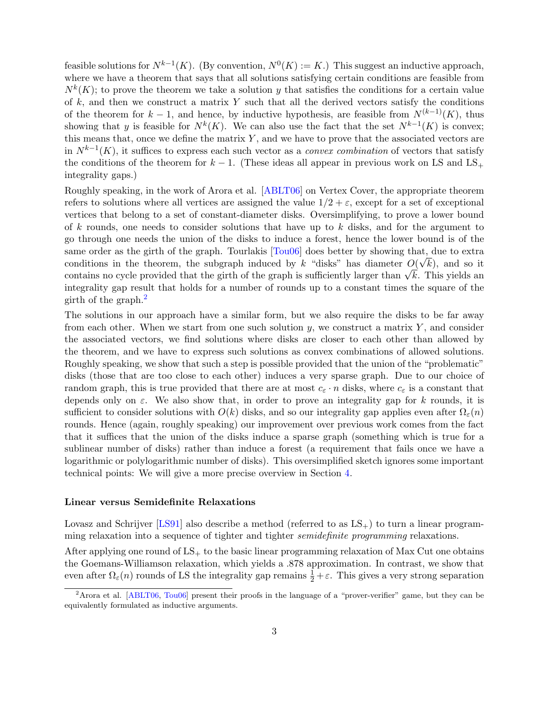<span id="page-2-1"></span>feasible solutions for  $N^{k-1}(K)$ . (By convention,  $N^0(K) := K$ .) This suggest an inductive approach, where we have a theorem that says that all solutions satisfying certain conditions are feasible from  $N^k(K)$ ; to prove the theorem we take a solution y that satisfies the conditions for a certain value of  $k$ , and then we construct a matrix Y such that all the derived vectors satisfy the conditions of the theorem for  $k-1$ , and hence, by inductive hypothesis, are feasible from  $N^{(k-1)}(K)$ , thus showing that y is feasible for  $N^k(K)$ . We can also use the fact that the set  $N^{k-1}(K)$  is convex; this means that, once we define the matrix  $Y$ , and we have to prove that the associated vectors are in  $N^{k-1}(K)$ , it suffices to express each such vector as a *convex combination* of vectors that satisfy the conditions of the theorem for  $k - 1$ . (These ideas all appear in previous work on LS and LS<sub>+</sub> integrality gaps.)

Roughly speaking, in the work of Arora et al. [\[ABLT06\]](#page-24-1) on Vertex Cover, the appropriate theorem refers to solutions where all vertices are assigned the value  $1/2 + \varepsilon$ , except for a set of exceptional vertices that belong to a set of constant-diameter disks. Oversimplifying, to prove a lower bound of k rounds, one needs to consider solutions that have up to  $k$  disks, and for the argument to go through one needs the union of the disks to induce a forest, hence the lower bound is of the same order as the girth of the graph. Tourlakis  $[Tou06]$  does better by showing that, due to extra conditions in the theorem, the subgraph induced by k "disks" has diameter  $O(\sqrt{k})$ , and so it conditions in the theorem, the subgraph induced by k ansies has diameter  $O(Vk)$ , and so it contains no cycle provided that the girth of the graph is sufficiently larger than  $\sqrt{k}$ . This yields an integrality gap result that holds for a number of rounds up to a constant times the square of the girth of the graph.[2](#page-2-0)

The solutions in our approach have a similar form, but we also require the disks to be far away from each other. When we start from one such solution  $y$ , we construct a matrix  $Y$ , and consider the associated vectors, we find solutions where disks are closer to each other than allowed by the theorem, and we have to express such solutions as convex combinations of allowed solutions. Roughly speaking, we show that such a step is possible provided that the union of the "problematic" disks (those that are too close to each other) induces a very sparse graph. Due to our choice of random graph, this is true provided that there are at most  $c_{\varepsilon} \cdot n$  disks, where  $c_{\varepsilon}$  is a constant that depends only on  $\varepsilon$ . We also show that, in order to prove an integrality gap for k rounds, it is sufficient to consider solutions with  $O(k)$  disks, and so our integrality gap applies even after  $\Omega_{\varepsilon}(n)$ rounds. Hence (again, roughly speaking) our improvement over previous work comes from the fact that it suffices that the union of the disks induce a sparse graph (something which is true for a sublinear number of disks) rather than induce a forest (a requirement that fails once we have a logarithmic or polylogarithmic number of disks). This oversimplified sketch ignores some important technical points: We will give a more precise overview in Section [4.](#page-5-0)

#### Linear versus Semidefinite Relaxations

Lovasz and Schrijver [\[LS91\]](#page-25-0) also describe a method (referred to as  $LS_{+}$ ) to turn a linear programming relaxation into a sequence of tighter and tighter *semidefinite programming* relaxations.

After applying one round of  $LS_+$  to the basic linear programming relaxation of Max Cut one obtains the Goemans-Williamson relaxation, which yields a .878 approximation. In contrast, we show that even after  $\Omega_{\varepsilon}(n)$  rounds of LS the integrality gap remains  $\frac{1}{2} + \varepsilon$ . This gives a very strong separation

<span id="page-2-0"></span><sup>&</sup>lt;sup>2</sup>Arora et al. [\[ABLT06,](#page-24-1) [Tou06\]](#page-25-2) present their proofs in the language of a "prover-verifier" game, but they can be equivalently formulated as inductive arguments.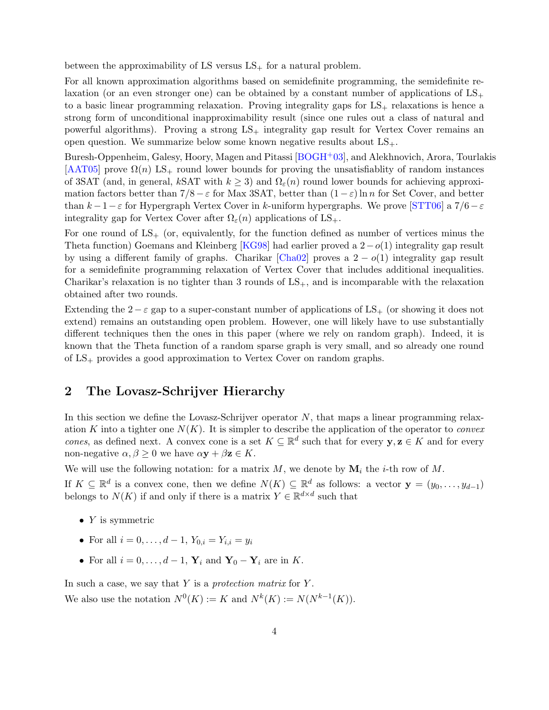<span id="page-3-0"></span>between the approximability of LS versus  $LS_+$  for a natural problem.

For all known approximation algorithms based on semidefinite programming, the semidefinite relaxation (or an even stronger one) can be obtained by a constant number of applications of  $LS_+$ to a basic linear programming relaxation. Proving integrality gaps for  $LS_{+}$  relaxations is hence a strong form of unconditional inapproximability result (since one rules out a class of natural and powerful algorithms). Proving a strong  $LS_+$  integrality gap result for Vertex Cover remains an open question. We summarize below some known negative results about  $LS_{+}$ .

Buresh-Oppenheim, Galesy, Hoory, Magen and Pitassi [\[BOGH](#page-24-3)+03], and Alekhnovich, Arora, Tourlakis  $[AAT05]$  prove  $\Omega(n)$  LS<sub>+</sub> round lower bounds for proving the unsatisfiablity of random instances of 3SAT (and, in general, kSAT with  $k \geq 3$ ) and  $\Omega_{\varepsilon}(n)$  round lower bounds for achieving approximation factors better than  $7/8 - \varepsilon$  for Max 3SAT, better than  $(1 - \varepsilon) \ln n$  for Set Cover, and better than  $k-1-\varepsilon$  for Hypergraph Vertex Cover in k-uniform hypergraphs. We prove [\[STT06\]](#page-25-5) a 7/6 $-\varepsilon$ integrality gap for Vertex Cover after  $\Omega_{\varepsilon}(n)$  applications of LS<sub>+</sub>.

For one round of  $LS_{+}$  (or, equivalently, for the function defined as number of vertices minus the Theta function) Goemans and Kleinberg [\[KG98\]](#page-25-6) had earlier proved a  $2-o(1)$  integrality gap result by using a different family of graphs. Charikar [\[Cha02\]](#page-24-5) proves a  $2 - o(1)$  integrality gap result for a semidefinite programming relaxation of Vertex Cover that includes additional inequalities. Charikar's relaxation is no tighter than 3 rounds of  $LS_+$ , and is incomparable with the relaxation obtained after two rounds.

Extending the  $2 - \varepsilon$  gap to a super-constant number of applications of LS<sub>+</sub> (or showing it does not extend) remains an outstanding open problem. However, one will likely have to use substantially different techniques then the ones in this paper (where we rely on random graph). Indeed, it is known that the Theta function of a random sparse graph is very small, and so already one round of  $LS_+$  provides a good approximation to Vertex Cover on random graphs.

# 2 The Lovasz-Schrijver Hierarchy

In this section we define the Lovasz-Schrijver operator  $N$ , that maps a linear programming relaxation K into a tighter one  $N(K)$ . It is simpler to describe the application of the operator to *convex* cones, as defined next. A convex cone is a set  $K \subseteq \mathbb{R}^d$  such that for every  $y, z \in K$  and for every non-negative  $\alpha, \beta \geq 0$  we have  $\alpha y + \beta z \in K$ .

We will use the following notation: for a matrix  $M$ , we denote by  $\mathbf{M}_i$  the *i*-th row of  $M$ .

If  $K \subseteq \mathbb{R}^d$  is a convex cone, then we define  $N(K) \subseteq \mathbb{R}^d$  as follows: a vector  $\mathbf{y} = (y_0, \ldots, y_{d-1})$ belongs to  $N(K)$  if and only if there is a matrix  $Y \in \mathbb{R}^{d \times d}$  such that

- $Y$  is symmetric
- For all  $i = 0, \ldots, d 1, Y_{0,i} = Y_{i,i} = y_i$
- For all  $i = 0, \ldots, d 1$ ,  $Y_i$  and  $Y_0 Y_i$  are in K.

In such a case, we say that  $Y$  is a protection matrix for  $Y$ . We also use the notation  $N^0(K) := K$  and  $N^k(K) := N(N^{k-1}(K)).$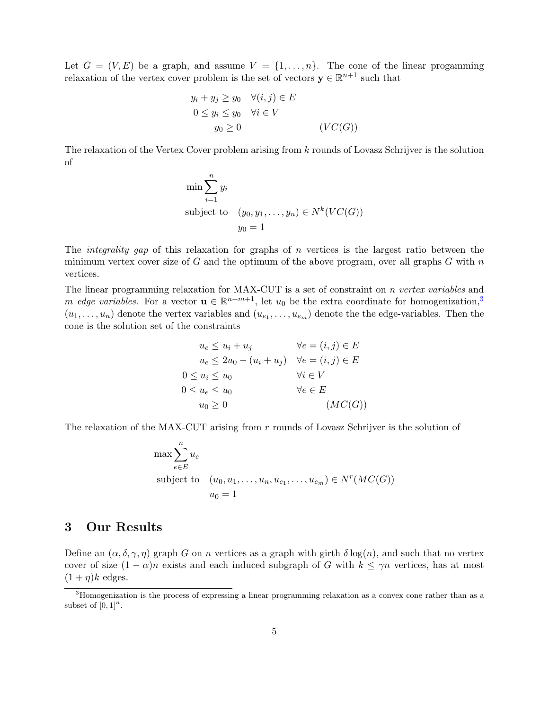Let  $G = (V, E)$  be a graph, and assume  $V = \{1, \ldots, n\}$ . The cone of the linear progamming relaxation of the vertex cover problem is the set of vectors  $y \in \mathbb{R}^{n+1}$  such that

$$
y_i + y_j \ge y_0 \quad \forall (i, j) \in E
$$
  
\n
$$
0 \le y_i \le y_0 \quad \forall i \in V
$$
  
\n
$$
y_0 \ge 0 \qquad (VC(G))
$$

The relaxation of the Vertex Cover problem arising from k rounds of Lovasz Schrijver is the solution of

$$
\min \sum_{i=1}^{n} y_i
$$
  
subject to  $(y_0, y_1, \dots, y_n) \in N^k(VC(G))$   
 $y_0 = 1$ 

The *integrality gap* of this relaxation for graphs of *n* vertices is the largest ratio between the minimum vertex cover size of  $G$  and the optimum of the above program, over all graphs  $G$  with  $n$ vertices.

The linear programming relaxation for MAX-CUT is a set of constraint on *n vertex variables* and m edge variables. For a vector  $\mathbf{u} \in \mathbb{R}^{n+m+1}$ , let  $u_0$  be the extra coordinate for homogenization,<sup>[3](#page-4-0)</sup>  $(u_1, \ldots, u_n)$  denote the vertex variables and  $(u_{e_1}, \ldots, u_{e_m})$  denote the the edge-variables. Then the cone is the solution set of the constraints

$$
u_e \le u_i + u_j \qquad \forall e = (i, j) \in E
$$
  
\n
$$
u_e \le 2u_0 - (u_i + u_j) \quad \forall e = (i, j) \in E
$$
  
\n
$$
0 \le u_i \le u_0 \qquad \forall i \in V
$$
  
\n
$$
0 \le u_e \le u_0 \qquad \forall e \in E
$$
  
\n
$$
u_0 \ge 0 \qquad (MC(G))
$$

The relaxation of the MAX-CUT arising from r rounds of Lovasz Schrijver is the solution of

$$
\max \sum_{e \in E}^{n} u_e
$$
\nsubject to  $(u_0, u_1, \dots, u_n, u_{e_1}, \dots, u_{e_m}) \in N^r(MC(G))$   
\n $u_0 = 1$ 

# 3 Our Results

Define an  $(\alpha, \delta, \gamma, \eta)$  graph G on n vertices as a graph with girth  $\delta \log(n)$ , and such that no vertex cover of size  $(1 - \alpha)n$  exists and each induced subgraph of G with  $k \leq \gamma n$  vertices, has at most  $(1 + \eta)k$  edges.

<span id="page-4-1"></span><span id="page-4-0"></span><sup>3</sup>Homogenization is the process of expressing a linear programming relaxation as a convex cone rather than as a subset of  $[0, 1]^n$ .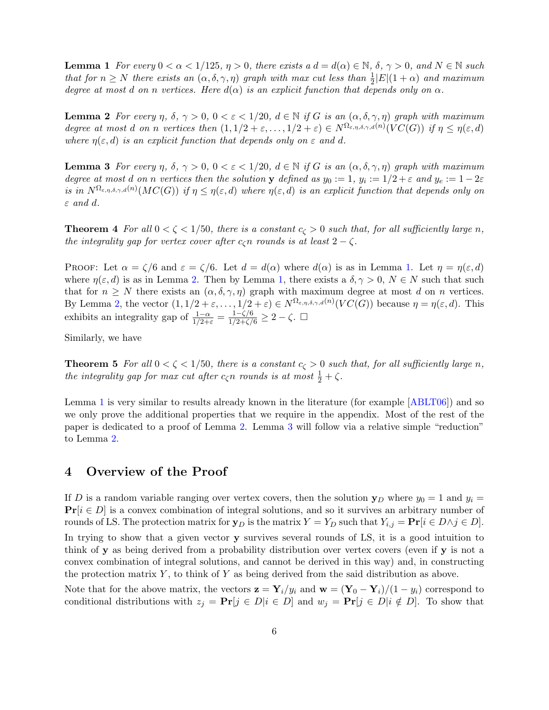<span id="page-5-3"></span>**Lemma 1** For every  $0 < \alpha < 1/125$ ,  $\eta > 0$ , there exists a  $d = d(\alpha) \in \mathbb{N}$ ,  $\delta$ ,  $\gamma > 0$ , and  $N \in \mathbb{N}$  such that for  $n \geq N$  there exists an  $(\alpha, \delta, \gamma, \eta)$  graph with max cut less than  $\frac{1}{2}|E|(1+\alpha)$  and maximum degree at most d on n vertices. Here  $d(\alpha)$  is an explicit function that depends only on  $\alpha$ .

<span id="page-5-1"></span>**Lemma 2** For every  $\eta$ ,  $\delta$ ,  $\gamma > 0$ ,  $0 < \varepsilon < 1/20$ ,  $d \in \mathbb{N}$  if G is an  $(\alpha, \delta, \gamma, \eta)$  graph with maximum degree at most d on n vertices then  $(1, 1/2 + \varepsilon, \ldots, 1/2 + \varepsilon) \in N^{\Omega_{\varepsilon, \eta, \delta, \gamma, d}(n)}(VC(G))$  if  $\eta \leq \eta(\varepsilon, d)$ where  $\eta(\varepsilon, d)$  is an explicit function that depends only on  $\varepsilon$  and d.

<span id="page-5-2"></span>**Lemma 3** For every  $\eta$ ,  $\delta$ ,  $\gamma > 0$ ,  $0 < \varepsilon < 1/20$ ,  $d \in \mathbb{N}$  if G is an  $(\alpha, \delta, \gamma, \eta)$  graph with maximum degree at most d on n vertices then the solution y defined as  $y_0 := 1$ ,  $y_i := 1/2 + \varepsilon$  and  $y_e := 1 - 2\varepsilon$ is in  $N^{\Omega_{\varepsilon,\eta,\delta,\gamma,d}(n)}(MC(G))$  if  $\eta \leq \eta(\varepsilon,d)$  where  $\eta(\varepsilon,d)$  is an explicit function that depends only on  $\varepsilon$  and  $d$ .

**Theorem 4** For all  $0 < \zeta < 1/50$ , there is a constant  $c_{\zeta} > 0$  such that, for all sufficiently large n, the integrality gap for vertex cover after  $c_{\zeta}$ n rounds is at least  $2 - \zeta$ .

PROOF: Let  $\alpha = \zeta/6$  and  $\varepsilon = \zeta/6$ . Let  $d = d(\alpha)$  where  $d(\alpha)$  is as in Lemma [1.](#page-4-1) Let  $\eta = \eta(\varepsilon, d)$ where  $\eta(\varepsilon, d)$  is as in Lemma [2.](#page-5-1) Then by Lemma [1,](#page-4-1) there exists a  $\delta, \gamma > 0, N \in N$  such that such that for  $n \geq N$  there exists an  $(\alpha, \delta, \gamma, \eta)$  graph with maximum degree at most d on n vertices. By Lemma [2,](#page-5-1) the vector  $(1, 1/2 + \varepsilon, ..., 1/2 + \varepsilon) \in N^{\Omega_{\varepsilon, \eta, \delta, \gamma, d}(n)}(VC(G))$  because  $\eta = \eta(\varepsilon, d)$ . This exhibits an integrality gap of  $\frac{1-\alpha}{1/2+\epsilon} = \frac{1-\zeta/6}{1/2+\zeta/6} \geq 2-\zeta$ .  $\Box$ 

Similarly, we have

**Theorem 5** For all  $0 < \zeta < 1/50$ , there is a constant  $c_{\zeta} > 0$  such that, for all sufficiently large n, the integrality gap for max cut after  $c_{\zeta}n$  rounds is at most  $\frac{1}{2} + \zeta$ .

Lemma [1](#page-4-1) is very similar to results already known in the literature (for example [\[ABLT06\]](#page-24-1)) and so we only prove the additional properties that we require in the appendix. Most of the rest of the paper is dedicated to a proof of Lemma [2.](#page-5-1) Lemma [3](#page-5-2) will follow via a relative simple "reduction" to Lemma [2.](#page-5-1)

## <span id="page-5-0"></span>4 Overview of the Proof

If D is a random variable ranging over vertex covers, then the solution  $y_D$  where  $y_0 = 1$  and  $y_i =$  $\Pr[i \in D]$  is a convex combination of integral solutions, and so it survives an arbitrary number of rounds of LS. The protection matrix for  $\mathbf{y}_D$  is the matrix  $Y = Y_D$  such that  $Y_{i,j} = \mathbf{Pr}[i \in D \land j \in D]$ . In trying to show that a given vector y survives several rounds of LS, it is a good intuition to think of y as being derived from a probability distribution over vertex covers (even if y is not a convex combination of integral solutions, and cannot be derived in this way) and, in constructing the protection matrix  $Y$ , to think of  $Y$  as being derived from the said distribution as above.

Note that for the above matrix, the vectors  $\mathbf{z} = \mathbf{Y}_i/y_i$  and  $\mathbf{w} = (\mathbf{Y}_0 - \mathbf{Y}_i)/(1 - y_i)$  correspond to conditional distributions with  $z_j = \Pr[j \in D | i \in D]$  and  $w_j = \Pr[j \in D | i \notin D]$ . To show that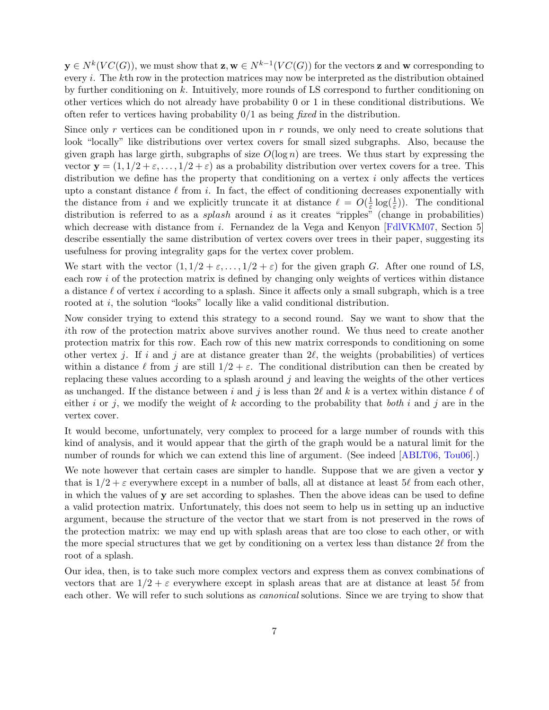<span id="page-6-0"></span> $y \in N^k(VC(G))$ , we must show that  $z, w \in N^{k-1}(VC(G))$  for the vectors z and w corresponding to every i. The kth row in the protection matrices may now be interpreted as the distribution obtained by further conditioning on  $k$ . Intuitively, more rounds of LS correspond to further conditioning on other vertices which do not already have probability 0 or 1 in these conditional distributions. We often refer to vertices having probability  $0/1$  as being fixed in the distribution.

Since only r vertices can be conditioned upon in r rounds, we only need to create solutions that look "locally" like distributions over vertex covers for small sized subgraphs. Also, because the given graph has large girth, subgraphs of size  $O(\log n)$  are trees. We thus start by expressing the vector  $y = (1, 1/2 + \varepsilon, ..., 1/2 + \varepsilon)$  as a probability distribution over vertex covers for a tree. This distribution we define has the property that conditioning on a vertex  $i$  only affects the vertices upto a constant distance  $\ell$  from i. In fact, the effect of conditioning decreases exponentially with the distance from i and we explicitly truncate it at distance  $\ell = O(\frac{1}{\varepsilon})$  $\frac{1}{\varepsilon} \log(\frac{1}{\varepsilon})$ ). The conditional distribution is referred to as a *splash* around i as it creates "ripples" (change in probabilities) which decrease with distance from *i*. Fernandez de la Vega and Kenyon  $\text{FdIVKM07}$ , Section 5 describe essentially the same distribution of vertex covers over trees in their paper, suggesting its usefulness for proving integrality gaps for the vertex cover problem.

We start with the vector  $(1, 1/2 + \varepsilon, \ldots, 1/2 + \varepsilon)$  for the given graph G. After one round of LS, each row  $i$  of the protection matrix is defined by changing only weights of vertices within distance a distance  $\ell$  of vertex i according to a splash. Since it affects only a small subgraph, which is a tree rooted at *i*, the solution "looks" locally like a valid conditional distribution.

Now consider trying to extend this strategy to a second round. Say we want to show that the ith row of the protection matrix above survives another round. We thus need to create another protection matrix for this row. Each row of this new matrix corresponds to conditioning on some other vertex j. If i and j are at distance greater than  $2\ell$ , the weights (probabilities) of vertices within a distance  $\ell$  from j are still  $1/2 + \varepsilon$ . The conditional distribution can then be created by replacing these values according to a splash around  $j$  and leaving the weights of the other vertices as unchanged. If the distance between i and j is less than  $2\ell$  and k is a vertex within distance  $\ell$  of either i or j, we modify the weight of k according to the probability that both i and j are in the vertex cover.

It would become, unfortunately, very complex to proceed for a large number of rounds with this kind of analysis, and it would appear that the girth of the graph would be a natural limit for the number of rounds for which we can extend this line of argument. (See indeed [\[ABLT06,](#page-24-1) [Tou06\]](#page-25-2).)

We note however that certain cases are simpler to handle. Suppose that we are given a vector y that is  $1/2 + \varepsilon$  everywhere except in a number of balls, all at distance at least 5 $\ell$  from each other, in which the values of y are set according to splashes. Then the above ideas can be used to define a valid protection matrix. Unfortunately, this does not seem to help us in setting up an inductive argument, because the structure of the vector that we start from is not preserved in the rows of the protection matrix: we may end up with splash areas that are too close to each other, or with the more special structures that we get by conditioning on a vertex less than distance  $2\ell$  from the root of a splash.

Our idea, then, is to take such more complex vectors and express them as convex combinations of vectors that are  $1/2 + \varepsilon$  everywhere except in splash areas that are at distance at least 5 $\ell$  from each other. We will refer to such solutions as *canonical* solutions. Since we are trying to show that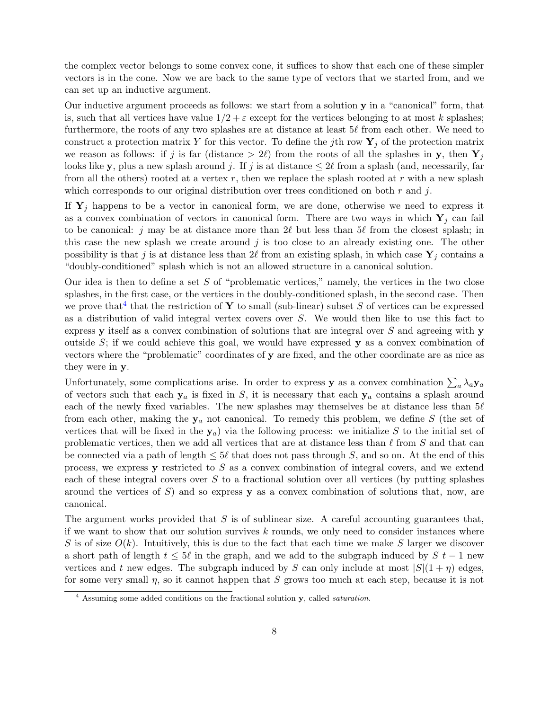the complex vector belongs to some convex cone, it suffices to show that each one of these simpler vectors is in the cone. Now we are back to the same type of vectors that we started from, and we can set up an inductive argument.

Our inductive argument proceeds as follows: we start from a solution y in a "canonical" form, that is, such that all vertices have value  $1/2 + \varepsilon$  except for the vertices belonging to at most k splashes; furthermore, the roots of any two splashes are at distance at least  $5\ell$  from each other. We need to construct a protection matrix Y for this vector. To define the jth row  $Y_j$  of the protection matrix we reason as follows: if j is far (distance  $> 2\ell$ ) from the roots of all the splashes in y, then  $Y_i$ looks like y, plus a new splash around j. If j is at distance  $\leq 2\ell$  from a splash (and, necessarily, far from all the others) rooted at a vertex r, then we replace the splash rooted at r with a new splash which corresponds to our original distribution over trees conditioned on both  $r$  and  $j$ .

If  $Y_i$  happens to be a vector in canonical form, we are done, otherwise we need to express it as a convex combination of vectors in canonical form. There are two ways in which  $Y_i$  can fail to be canonical: j may be at distance more than  $2\ell$  but less than  $5\ell$  from the closest splash; in this case the new splash we create around  $j$  is too close to an already existing one. The other possibility is that j is at distance less than  $2\ell$  from an existing splash, in which case  $Y_i$  contains a "doubly-conditioned" splash which is not an allowed structure in a canonical solution.

Our idea is then to define a set  $S$  of "problematic vertices," namely, the vertices in the two close splashes, in the first case, or the vertices in the doubly-conditioned splash, in the second case. Then we prove that<sup>[4](#page-7-0)</sup> that the restriction of Y to small (sub-linear) subset S of vertices can be expressed as a distribution of valid integral vertex covers over S. We would then like to use this fact to express y itself as a convex combination of solutions that are integral over  $S$  and agreeing with y outside  $S$ ; if we could achieve this goal, we would have expressed  $\bf{y}$  as a convex combination of vectors where the "problematic" coordinates of y are fixed, and the other coordinate are as nice as they were in y.

Unfortunately, some complications arise. In order to express **y** as a convex combination  $\sum_a \lambda_a \mathbf{y}_a$ of vectors such that each  $y_a$  is fixed in S, it is necessary that each  $y_a$  contains a splash around each of the newly fixed variables. The new splashes may themselves be at distance less than  $5\ell$ from each other, making the  $y_a$  not canonical. To remedy this problem, we define S (the set of vertices that will be fixed in the  $y_a$ ) via the following process: we initialize S to the initial set of problematic vertices, then we add all vertices that are at distance less than  $\ell$  from S and that can be connected via a path of length  $\leq 5\ell$  that does not pass through S, and so on. At the end of this process, we express  $\bf{y}$  restricted to  $S$  as a convex combination of integral covers, and we extend each of these integral covers over  $S$  to a fractional solution over all vertices (by putting splashes around the vertices of  $S$ ) and so express **y** as a convex combination of solutions that, now, are canonical.

The argument works provided that  $S$  is of sublinear size. A careful accounting guarantees that, if we want to show that our solution survives  $k$  rounds, we only need to consider instances where S is of size  $O(k)$ . Intuitively, this is due to the fact that each time we make S larger we discover a short path of length  $t \leq 5\ell$  in the graph, and we add to the subgraph induced by  $S t - 1$  new vertices and t new edges. The subgraph induced by S can only include at most  $|S|(1 + \eta)$  edges, for some very small  $\eta$ , so it cannot happen that S grows too much at each step, because it is not

<span id="page-7-0"></span> $4$  Assuming some added conditions on the fractional solution y, called *saturation*.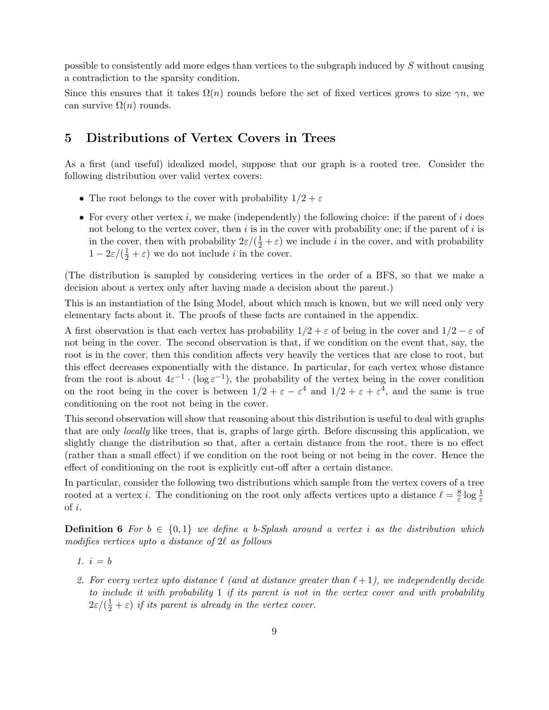possible to consistently add more edges than vertices to the subgraph induced by S without causing a contradiction to the sparsity condition.

Since this ensures that it takes  $\Omega(n)$  rounds before the set of fixed vertices grows to size  $\gamma n$ , we can survive  $\Omega(n)$  rounds.

# 5 Distributions of Vertex Covers in Trees

As a first (and useful) idealized model, suppose that our graph is a rooted tree. Consider the following distribution over valid vertex covers:

- The root belongs to the cover with probability  $1/2 + \varepsilon$
- For every other vertex i, we make (independently) the following choice: if the parent of i does not belong to the vertex cover, then i is in the cover with probability one; if the parent of i is in the cover, then with probability  $2\varepsilon/(\frac{1}{2} + \varepsilon)$  we include *i* in the cover, and with probability  $1 - 2\varepsilon/(\frac{1}{2} + \varepsilon)$  we do not include *i* in the cover.

(The distribution is sampled by considering vertices in the order of a BFS, so that we make a decision about a vertex only after having made a decision about the parent.)

This is an instantiation of the Ising Model, about which much is known, but we will need only very elementary facts about it. The proofs of these facts are contained in the appendix.

A first observation is that each vertex has probability  $1/2 + \varepsilon$  of being in the cover and  $1/2 - \varepsilon$  of not being in the cover. The second observation is that, if we condition on the event that, say, the root is in the cover, then this condition affects very heavily the vertices that are close to root, but this effect decreases exponentially with the distance. In particular, for each vertex whose distance from the root is about  $4\varepsilon^{-1} \cdot (\log \varepsilon^{-1})$ , the probability of the vertex being in the cover condition on the root being in the cover is between  $1/2 + \varepsilon - \varepsilon^4$  and  $1/2 + \varepsilon + \varepsilon^4$ , and the same is true conditioning on the root not being in the cover.

This second observation will show that reasoning about this distribution is useful to deal with graphs that are only locally like trees, that is, graphs of large girth. Before discussing this application, we slightly change the distribution so that, after a certain distance from the root, there is no effect (rather than a small effect) if we condition on the root being or not being in the cover. Hence the effect of conditioning on the root is explicitly cut-off after a certain distance.

In particular, consider the following two distributions which sample from the vertex covers of a tree rooted at a vertex *i*. The conditioning on the root only affects vertices upto a distance  $\ell = \frac{8}{5}$  $rac{8}{\varepsilon} \log \frac{1}{\varepsilon}$ of i.

**Definition 6** For  $b \in \{0,1\}$  we define a b-Splash around a vertex i as the distribution which modifies vertices upto a distance of  $2\ell$  as follows

- 1.  $i = b$
- 2. For every vertex upto distance  $\ell$  (and at distance greater than  $\ell + 1$ ), we independently decide to include it with probability 1 if its parent is not in the vertex cover and with probability  $2\varepsilon/(\frac{1}{2} + \varepsilon)$  if its parent is already in the vertex cover.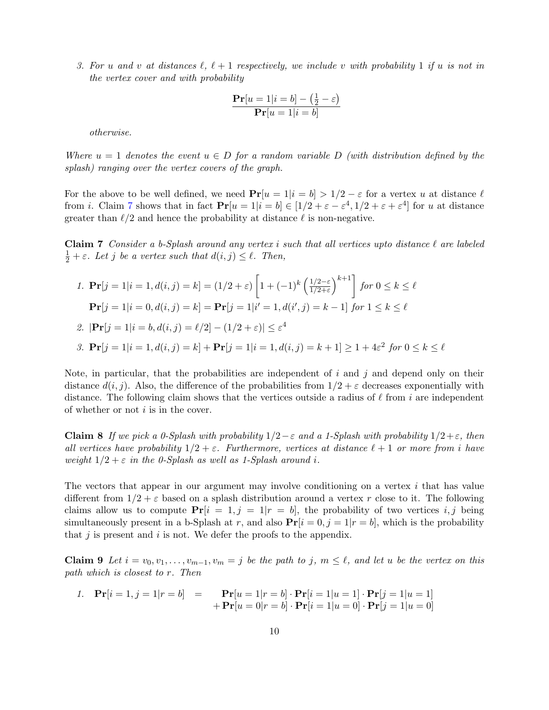3. For u and v at distances  $\ell, \ell + 1$  respectively, we include v with probability 1 if u is not in the vertex cover and with probability

$$
\frac{\mathbf{Pr}[u=1|i=b] - (\frac{1}{2} - \varepsilon)}{\mathbf{Pr}[u=1|i=b]}
$$

otherwise.

Where  $u = 1$  denotes the event  $u \in D$  for a random variable D (with distribution defined by the splash) ranging over the vertex covers of the graph.

For the above to be well defined, we need  $Pr[u = 1|i = b] > 1/2 - \varepsilon$  for a vertex u at distance  $\ell$ from *i*. Claim [7](#page-9-0) shows that in fact  $Pr[u = 1 | i = b] \in [1/2 + \varepsilon - \varepsilon^4, 1/2 + \varepsilon + \varepsilon^4]$  for *u* at distance greater than  $\ell/2$  and hence the probability at distance  $\ell$  is non-negative.

<span id="page-9-0"></span>**Claim 7** Consider a b-Splash around any vertex i such that all vertices upto distance  $\ell$  are labeled  $\frac{1}{2} + \varepsilon$ . Let j be a vertex such that  $d(i, j) \leq \ell$ . Then,

1. 
$$
\mathbf{Pr}[j = 1 | i = 1, d(i, j) = k] = (1/2 + \varepsilon) \left[ 1 + (-1)^k \left( \frac{1/2 - \varepsilon}{1/2 + \varepsilon} \right)^{k+1} \right] \text{ for } 0 \le k \le \ell
$$
  
\n $\mathbf{Pr}[j = 1 | i = 0, d(i, j) = k] = \mathbf{Pr}[j = 1 | i' = 1, d(i', j) = k - 1] \text{ for } 1 \le k \le \ell$   
\n2.  $|\mathbf{Pr}[j = 1 | i = b, d(i, j) = \ell/2] - (1/2 + \varepsilon)| \le \varepsilon^4$   
\n3.  $\mathbf{Pr}[j = 1 | i = 1, d(i, j) = k] + \mathbf{Pr}[j = 1 | i = 1, d(i, j) = k + 1] \ge 1 + 4\varepsilon^2 \text{ for } 0 \le k \le \ell$ 

Note, in particular, that the probabilities are independent of  $i$  and  $j$  and depend only on their distance  $d(i, j)$ . Also, the difference of the probabilities from  $1/2 + \varepsilon$  decreases exponentially with distance. The following claim shows that the vertices outside a radius of  $\ell$  from i are independent of whether or not  $i$  is in the cover.

<span id="page-9-2"></span>Claim 8 If we pick a 0-Splash with probability  $1/2-\varepsilon$  and a 1-Splash with probability  $1/2+\varepsilon$ , then all vertices have probability  $1/2 + \varepsilon$ . Furthermore, vertices at distance  $\ell + 1$  or more from i have weight  $1/2 + \varepsilon$  in the 0-Splash as well as 1-Splash around i.

The vectors that appear in our argument may involve conditioning on a vertex  $i$  that has value different from  $1/2 + \varepsilon$  based on a splash distribution around a vertex r close to it. The following claims allow us to compute  $Pr[i = 1, j = 1 | r = b]$ , the probability of two vertices i, j being simultaneously present in a b-Splash at r, and also  $Pr[i = 0, j = 1 | r = b]$ , which is the probability that  $j$  is present and  $i$  is not. We defer the proofs to the appendix.

<span id="page-9-1"></span>**Claim 9** Let  $i = v_0, v_1, \ldots, v_{m-1}, v_m = j$  be the path to j,  $m \leq \ell$ , and let u be the vertex on this path which is closest to r. Then

1. 
$$
\mathbf{Pr}[i=1,j=1|r=b] = \mathbf{Pr}[u=1|r=b] \cdot \mathbf{Pr}[i=1|u=1] \cdot \mathbf{Pr}[j=1|u=1] + \mathbf{Pr}[u=0|r=b] \cdot \mathbf{Pr}[i=1|u=0] \cdot \mathbf{Pr}[j=1|u=0]
$$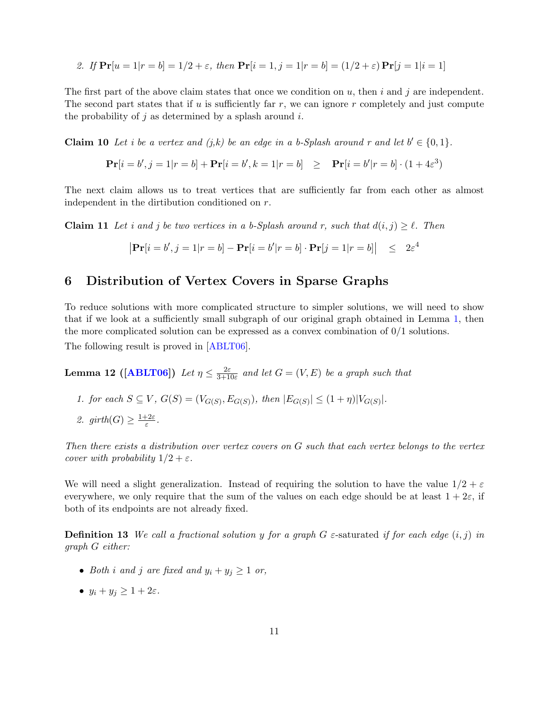<span id="page-10-2"></span>2. If 
$$
\Pr[u = 1 | r = b] = 1/2 + \varepsilon
$$
, then  $\Pr[i = 1, j = 1 | r = b] = (1/2 + \varepsilon) \Pr[j = 1 | i = 1]$ 

The first part of the above claim states that once we condition on u, then i and i are independent. The second part states that if  $u$  is sufficiently far  $r$ , we can ignore  $r$  completely and just compute the probability of  $j$  as determined by a splash around  $i$ .

<span id="page-10-0"></span>**Claim 10** Let *i* be a vertex and  $(j,k)$  be an edge in a b-Splash around r and let  $b' \in \{0,1\}$ .

$$
\mathbf{Pr}[i = b', j = 1 | r = b] + \mathbf{Pr}[i = b', k = 1 | r = b] \geq \mathbf{Pr}[i = b' | r = b] \cdot (1 + 4\varepsilon^3)
$$

The next claim allows us to treat vertices that are sufficiently far from each other as almost independent in the dirtibution conditioned on r.

**Claim 11** Let i and j be two vertices in a b-Splash around r, such that  $d(i, j) \geq \ell$ . Then

<span id="page-10-1"></span>
$$
|\mathbf{Pr}[i = b', j = 1 | r = b] - \mathbf{Pr}[i = b' | r = b] \cdot \mathbf{Pr}[j = 1 | r = b]| \leq 2\varepsilon^4
$$

# 6 Distribution of Vertex Covers in Sparse Graphs

To reduce solutions with more complicated structure to simpler solutions, we will need to show that if we look at a sufficiently small subgraph of our original graph obtained in Lemma [1,](#page-4-1) then the more complicated solution can be expressed as a convex combination of 0/1 solutions. The following result is proved in [\[ABLT06\]](#page-24-1).

Lemma 12 ([\[ABLT06\]](#page-24-1)) Let  $\eta \leq \frac{2\varepsilon}{3+1}$  $\frac{2\varepsilon}{3+10\varepsilon}$  and let  $G=(V,E)$  be a graph such that

- 1. for each  $S \subseteq V$ ,  $G(S) = (V_{G(S)}, E_{G(S)})$ , then  $|E_{G(S)}| \leq (1 + \eta)|V_{G(S)}|$ .
- 2. girth $(G) \geq \frac{1+2\varepsilon}{\varepsilon}$  $\frac{\epsilon^{-2\varepsilon}}{\varepsilon}$  .

Then there exists a distribution over vertex covers on G such that each vertex belongs to the vertex cover with probability  $1/2 + \varepsilon$ .

We will need a slight generalization. Instead of requiring the solution to have the value  $1/2 + \varepsilon$ everywhere, we only require that the sum of the values on each edge should be at least  $1 + 2\varepsilon$ , if both of its endpoints are not already fixed.

**Definition 13** We call a fractional solution y for a graph G  $\varepsilon$ -saturated if for each edge  $(i, j)$  in graph G either:

- Both i and j are fixed and  $y_i + y_j \geq 1$  or,
- $y_i + y_j \geq 1 + 2\varepsilon$ .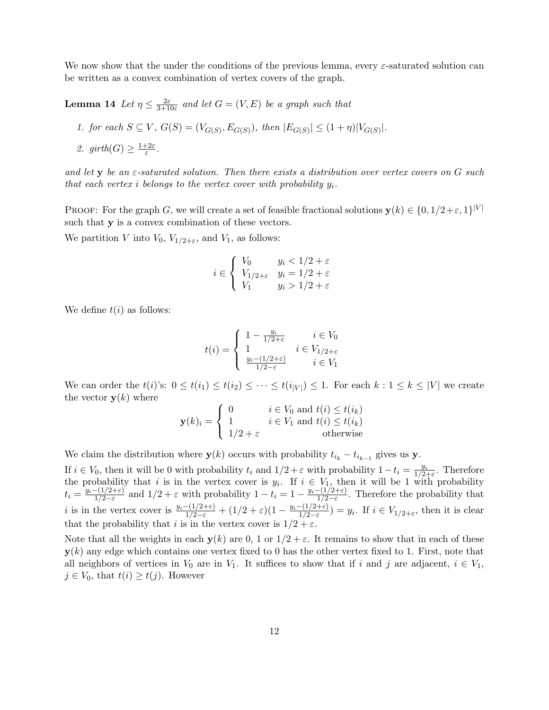We now show that the under the conditions of the previous lemma, every  $\varepsilon$ -saturated solution can be written as a convex combination of vertex covers of the graph.

<span id="page-11-0"></span>Lemma 14 Let  $\eta \leq \frac{2\varepsilon}{3+10}$  $\frac{2\varepsilon}{3+10\varepsilon}$  and let  $G=(V,E)$  be a graph such that

- 1. for each  $S \subseteq V$ ,  $G(S) = (V_{G(S)}, E_{G(S)})$ , then  $|E_{G(S)}| \leq (1 + \eta)|V_{G(S)}|$ .
- 2. girth $(G) \geq \frac{1+2\varepsilon}{\varepsilon}$  $\frac{\epsilon^{-2\varepsilon}}{\varepsilon}$  .

and let  $y$  be an  $\varepsilon$ -saturated solution. Then there exists a distribution over vertex covers on G such that each vertex i belongs to the vertex cover with probability  $y_i$ .

PROOF: For the graph G, we will create a set of feasible fractional solutions  $\mathbf{y}(k) \in \{0, 1/2 + \varepsilon, 1\}^{|V|}$ such that **y** is a convex combination of these vectors.

We partition V into  $V_0$ ,  $V_{1/2+\varepsilon}$ , and  $V_1$ , as follows:

$$
i \in \left\{ \begin{array}{ll} V_0 & y_i < 1/2 + \varepsilon \\ V_1/2 + \varepsilon & y_i = 1/2 + \varepsilon \\ V_1 & y_i > 1/2 + \varepsilon \end{array} \right.
$$

We define  $t(i)$  as follows:

$$
t(i) = \begin{cases} 1 - \frac{y_i}{1/2 + \varepsilon} & i \in V_0 \\ 1 & i \in V_{1/2 + \varepsilon} \\ \frac{y_i - (1/2 + \varepsilon)}{1/2 - \varepsilon} & i \in V_1 \end{cases}
$$

We can order the  $t(i)$ 's:  $0 \leq t(i_1) \leq t(i_2) \leq \cdots \leq t(i_{|V|}) \leq 1$ . For each  $k: 1 \leq k \leq |V|$  we create the vector  $y(k)$  where

$$
\mathbf{y}(k)_i = \begin{cases} 0 & i \in V_0 \text{ and } t(i) \le t(i_k) \\ 1 & i \in V_1 \text{ and } t(i) \le t(i_k) \\ 1/2 + \varepsilon & \text{otherwise} \end{cases}
$$

We claim the distribution where  $y(k)$  occurs with probability  $t_{i_k} - t_{i_{k-1}}$  gives us y.

If  $i \in V_0$ , then it will be 0 with probability  $t_i$  and  $1/2 + \varepsilon$  with probability  $1-t_i = \frac{y_i}{1/2}$ .  $\frac{y_i}{1/2+\varepsilon}$ . Therefore the probability that i is in the vertex cover is  $y_i$ . If  $i \in V_1$ , then it will be 1 with probability  $t_i = \frac{y_i-(1/2+\varepsilon)}{1/2-\varepsilon}$  $\frac{-(1/2+\varepsilon)}{1/2-\varepsilon}$  and  $1/2+\varepsilon$  with probability  $1-t_i=1-\frac{y_i-(1/2+\varepsilon)}{1/2-\varepsilon}$  $\frac{1}{2-\epsilon}$ . Therefore the probability that *i* is in the vertex cover is  $\frac{y_i - (1/2 + \varepsilon)}{1/2 - \varepsilon} + (1/2 + \varepsilon)(1 - \frac{y_i - (1/2 + \varepsilon)}{1/2 - \varepsilon})$  $\frac{-(1/2+\varepsilon)}{1/2-\varepsilon}$  =  $y_i$ . If  $i \in V_{1/2+\varepsilon}$ , then it is clear that the probability that i is in the vertex cover is  $1/2 + \varepsilon$ .

Note that all the weights in each  $y(k)$  are 0, 1 or  $1/2 + \varepsilon$ . It remains to show that in each of these  $y(k)$  any edge which contains one vertex fixed to 0 has the other vertex fixed to 1. First, note that all neighbors of vertices in  $V_0$  are in  $V_1$ . It suffices to show that if i and j are adjacent,  $i \in V_1$ ,  $j \in V_0$ , that  $t(i) \geq t(j)$ . However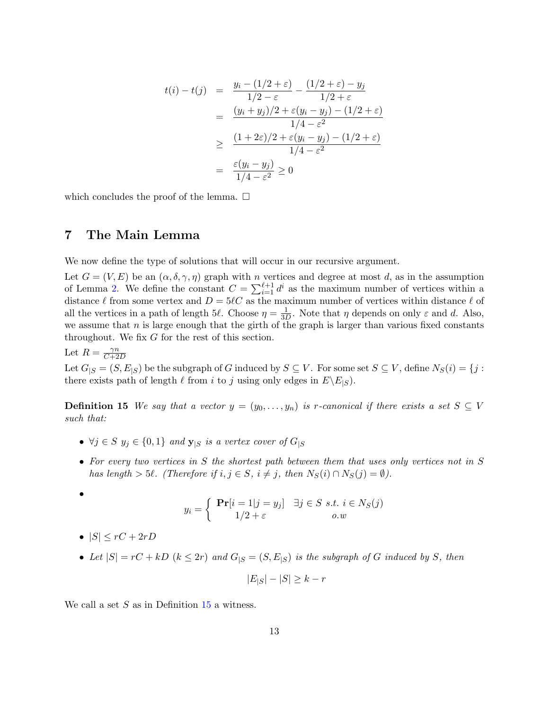$$
t(i) - t(j) = \frac{y_i - (1/2 + \varepsilon)}{1/2 - \varepsilon} - \frac{(1/2 + \varepsilon) - y_j}{1/2 + \varepsilon}
$$
  
= 
$$
\frac{(y_i + y_j)/2 + \varepsilon(y_i - y_j) - (1/2 + \varepsilon)}{1/4 - \varepsilon^2}
$$
  

$$
\geq \frac{(1 + 2\varepsilon)/2 + \varepsilon(y_i - y_j) - (1/2 + \varepsilon)}{1/4 - \varepsilon^2}
$$
  
= 
$$
\frac{\varepsilon(y_i - y_j)}{1/4 - \varepsilon^2} \geq 0
$$

which concludes the proof of the lemma.  $\Box$ 

# 7 The Main Lemma

We now define the type of solutions that will occur in our recursive argument.

Let  $G = (V, E)$  be an  $(\alpha, \delta, \gamma, \eta)$  graph with n vertices and degree at most d, as in the assumption of Lemma [2.](#page-5-1) We define the constant  $C = \sum_{i=1}^{\ell+1} d^i$  as the maximum number of vertices within a distance  $\ell$  from some vertex and  $D = 5\ell C$  as the maximum number of vertices within distance  $\ell$  of all the vertices in a path of length 5 $\ell$ . Choose  $\eta = \frac{1}{3l}$  $\frac{1}{3D}$ . Note that  $\eta$  depends on only  $\varepsilon$  and d. Also, we assume that  $n$  is large enough that the girth of the graph is larger than various fixed constants throughout. We fix G for the rest of this section.

Let  $R = \frac{\gamma n}{C + \gamma}$  $C+2D$ 

Let  $G_{|S} = (S, E_{|S})$  be the subgraph of G induced by  $S \subseteq V$ . For some set  $S \subseteq V$ , define  $N_S(i) = \{j : S \subseteq V\}$ there exists path of length  $\ell$  from i to j using only edges in  $E\backslash E_{|S}$ .

<span id="page-12-0"></span>**Definition 15** We say that a vector  $y = (y_0, \ldots, y_n)$  is r-canonical if there exists a set  $S \subseteq V$ such that:

- $\forall j \in S \ y_i \in \{0,1\} \ and \ y_{|S} \ is \ a \ vertex \ cover \ of \ G_{|S}$
- For every two vertices in S the shortest path between them that uses only vertices not in S has length > 5 $\ell$ . (Therefore if  $i, j \in S$ ,  $i \neq j$ , then  $N_S(i) \cap N_S(j) = \emptyset$ ).

$$
\bullet
$$

$$
y_i = \begin{cases} \mathbf{Pr}[i=1|j=y_j] & \exists j \in S \ s.t. \ i \in N_S(j) \\ 1/2 + \varepsilon & o.w \end{cases}
$$

- $|S| \leq rC + 2rD$
- Let  $|S| = rC + kD$   $(k \leq 2r)$  and  $G_{|S} = (S, E_{|S})$  is the subgraph of G induced by S, then

$$
|E_{|S}| - |S| \ge k - r
$$

<span id="page-12-1"></span>We call a set  $S$  as in Definition [15](#page-12-0) a witness.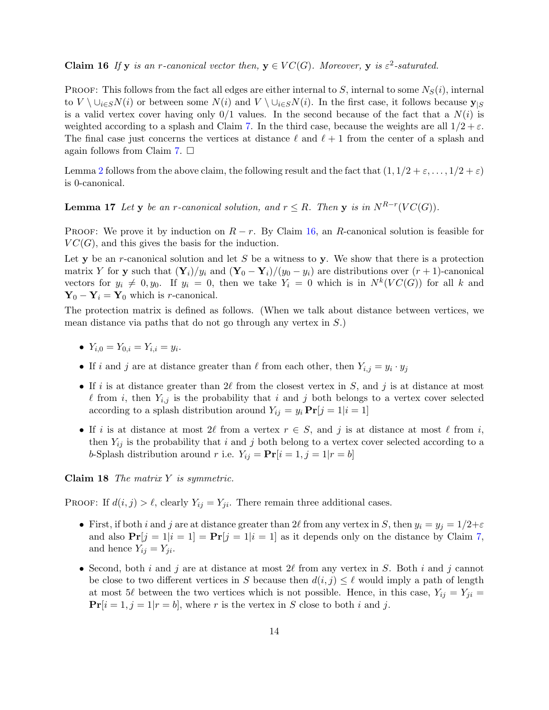#### **Claim 16** If y is an r-canonical vector then,  $y \in VC(G)$ . Moreover, y is  $\varepsilon^2$ -saturated.

PROOF: This follows from the fact all edges are either internal to S, internal to some  $N_S(i)$ , internal to  $V \setminus \cup_{i \in S} N(i)$  or between some  $N(i)$  and  $V \setminus \cup_{i \in S} N(i)$ . In the first case, it follows because  $\mathbf{y}_{|S}$ is a valid vertex cover having only  $0/1$  values. In the second because of the fact that a  $N(i)$  is weighted according to a splash and Claim [7.](#page-9-0) In the third case, because the weights are all  $1/2 + \varepsilon$ . The final case just concerns the vertices at distance  $\ell$  and  $\ell + 1$  from the center of a splash and again follows from Claim [7.](#page-9-0)  $\square$ 

Lemma [2](#page-5-1) follows from the above claim, the following result and the fact that  $(1, 1/2 + \varepsilon, \ldots, 1/2 + \varepsilon)$ is 0-canonical.

<span id="page-13-0"></span>**Lemma 17** Let y be an r-canonical solution, and  $r \leq R$ . Then y is in  $N^{R-r}(VC(G))$ .

PROOF: We prove it by induction on  $R - r$ . By Claim [16,](#page-12-1) an R-canonical solution is feasible for  $VC(G)$ , and this gives the basis for the induction.

Let y be an r-canonical solution and let S be a witness to y. We show that there is a protection matrix Y for y such that  $(Y_i)/y_i$  and  $(Y_0 - Y_i)/(y_0 - y_i)$  are distributions over  $(r + 1)$ -canonical vectors for  $y_i \neq 0, y_0$ . If  $y_i = 0$ , then we take  $Y_i = 0$  which is in  $N^k(VC(G))$  for all k and  $Y_0 - Y_i = Y_0$  which is *r*-canonical.

The protection matrix is defined as follows. (When we talk about distance between vertices, we mean distance via paths that do not go through any vertex in S.)

- $Y_{i,0} = Y_{0,i} = Y_{i,i} = y_i.$
- If i and j are at distance greater than  $\ell$  from each other, then  $Y_{i,j} = y_i \cdot y_j$
- If i is at distance greater than  $2\ell$  from the closest vertex in S, and j is at distance at most  $\ell$  from i, then  $Y_{i,j}$  is the probability that i and j both belongs to a vertex cover selected according to a splash distribution around  $Y_{ij} = y_i \mathbf{Pr}[j = 1 | i = 1]$
- If i is at distance at most 2 $\ell$  from a vertex  $r \in S$ , and j is at distance at most  $\ell$  from i, then  $Y_{ij}$  is the probability that i and j both belong to a vertex cover selected according to a b-Splash distribution around r i.e.  $Y_{ij} = \mathbf{Pr}[i = 1, j = 1 | r = b]$

Claim 18 The matrix  $Y$  is symmetric.

PROOF: If  $d(i, j) > \ell$ , clearly  $Y_{ij} = Y_{ji}$ . There remain three additional cases.

- First, if both i and j are at distance greater than 2l from any vertex in S, then  $y_i = y_j = 1/2+\epsilon$ and also  $Pr[j = 1 | i = 1] = Pr[j = 1 | i = 1]$  as it depends only on the distance by Claim [7,](#page-9-0) and hence  $Y_{ij} = Y_{ji}$ .
- Second, both i and j are at distance at most  $2\ell$  from any vertex in S. Both i and j cannot be close to two different vertices in S because then  $d(i, j) \leq \ell$  would imply a path of length at most 5 $\ell$  between the two vertices which is not possible. Hence, in this case,  $Y_{ij} = Y_{ji} =$  $Pr[i = 1, j = 1 | r = b]$ , where r is the vertex in S close to both i and j.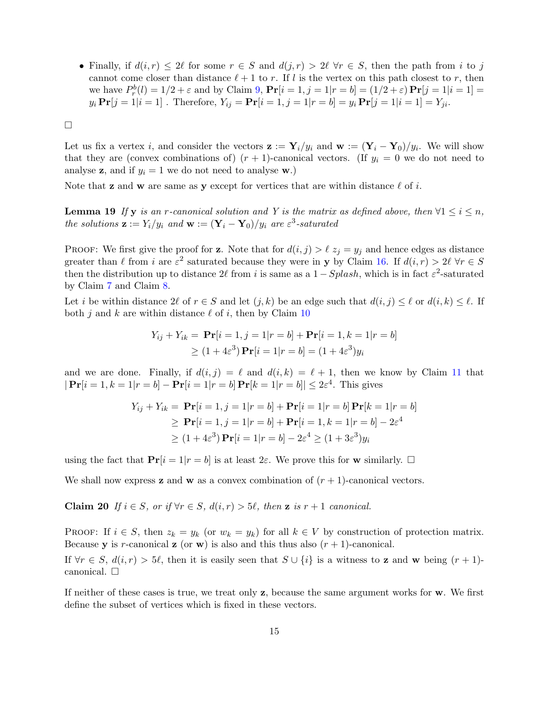• Finally, if  $d(i, r) \leq 2\ell$  for some  $r \in S$  and  $d(j, r) > 2\ell$   $\forall r \in S$ , then the path from i to j cannot come closer than distance  $\ell + 1$  to r. If l is the vertex on this path closest to r, then we have  $P_r^b(l) = 1/2 + \varepsilon$  and by Claim [9,](#page-9-1)  $Pr[i = 1, j = 1 | r = b] = (1/2 + \varepsilon) Pr[j = 1 | i = 1] =$  $y_i \Pr[j = 1 | i = 1]$ . Therefore,  $Y_{ij} = \Pr[i = 1, j = 1 | r = b] = y_i \Pr[j = 1 | i = 1] = Y_{ji}$ .

 $\Box$ 

Let us fix a vertex i, and consider the vectors  $\mathbf{z} := \mathbf{Y}_i/y_i$  and  $\mathbf{w} := (\mathbf{Y}_i - \mathbf{Y}_0)/y_i$ . We will show that they are (convex combinations of)  $(r + 1)$ -canonical vectors. (If  $y_i = 0$  we do not need to analyse **z**, and if  $y_i = 1$  we do not need to analyse **w**.)

<span id="page-14-0"></span>Note that **z** and **w** are same as **y** except for vertices that are within distance  $\ell$  of i.

**Lemma 19** If y is an r-canonical solution and Y is the matrix as defined above, then  $\forall 1 \leq i \leq n$ , the solutions  $\mathbf{z} := Y_i/y_i$  and  $\mathbf{w} := (\mathbf{Y}_i - \mathbf{Y}_0)/y_i$  are  $\varepsilon^3$ -saturated

PROOF: We first give the proof for **z**. Note that for  $d(i, j) > \ell z_j = y_j$  and hence edges as distance greater than  $\ell$  from i are  $\varepsilon^2$  saturated because they were in y by Claim [16.](#page-12-1) If  $d(i, r) > 2\ell \ \forall r \in S$ then the distribution up to distance  $2\ell$  from i is same as a  $1 - Splash$ , which is in fact  $\varepsilon^2$ -saturated by Claim [7](#page-9-0) and Claim [8.](#page-9-2)

Let i be within distance  $2\ell$  of  $r \in S$  and let  $(j, k)$  be an edge such that  $d(i, j) \leq \ell$  or  $d(i, k) \leq \ell$ . If both j and k are within distance  $\ell$  of i, then by Claim [10](#page-10-0)

$$
Y_{ij} + Y_{ik} = \mathbf{Pr}[i = 1, j = 1 | r = b] + \mathbf{Pr}[i = 1, k = 1 | r = b]
$$
  
\n
$$
\geq (1 + 4\varepsilon^3) \mathbf{Pr}[i = 1 | r = b] = (1 + 4\varepsilon^3) y_i
$$

and we are done. Finally, if  $d(i, j) = \ell$  and  $d(i, k) = \ell + 1$ , then we know by Claim [11](#page-10-1) that  $|\Pr[i = 1, k = 1 | r = b] - \Pr[i = 1 | r = b] \Pr[k = 1 | r = b]| \leq 2\varepsilon^4$ . This gives

$$
Y_{ij} + Y_{ik} = \Pr[i = 1, j = 1 | r = b] + \Pr[i = 1 | r = b] \Pr[k = 1 | r = b]
$$
  
\n
$$
\geq \Pr[i = 1, j = 1 | r = b] + \Pr[i = 1, k = 1 | r = b] - 2\varepsilon^4
$$
  
\n
$$
\geq (1 + 4\varepsilon^3) \Pr[i = 1 | r = b] - 2\varepsilon^4 \geq (1 + 3\varepsilon^3) y_i
$$

using the fact that  $\Pr[i = 1 | r = b]$  is at least  $2\varepsilon$ . We prove this for **w** similarly.  $\Box$ 

We shall now express **z** and **w** as a convex combination of  $(r + 1)$ -canonical vectors.

**Claim 20** If  $i \in S$ , or if  $\forall r \in S$ ,  $d(i, r) > 5\ell$ , then **z** is  $r + 1$  canonical.

PROOF: If  $i \in S$ , then  $z_k = y_k$  (or  $w_k = y_k$ ) for all  $k \in V$  by construction of protection matrix. Because y is r-canonical z (or w) is also and this thus also  $(r + 1)$ -canonical.

If  $\forall r \in S, d(i, r) > 5\ell$ , then it is easily seen that  $S \cup \{i\}$  is a witness to **z** and **w** being  $(r + 1)$ canonical.  $\Box$ 

If neither of these cases is true, we treat only z, because the same argument works for w. We first define the subset of vertices which is fixed in these vectors.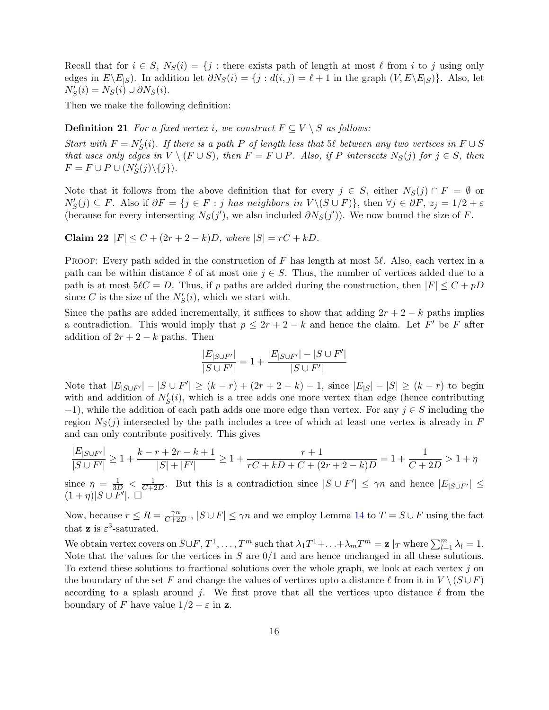Recall that for  $i \in S$ ,  $N_S(i) = \{j : \text{there exists path of length at most } \ell \text{ from } i \text{ to } j \text{ using only } \ell \}$ edges in  $E\setminus E_{|S}$ . In addition let  $\partial N_S(i) = \{j : d(i,j) = \ell + 1 \text{ in the graph } (V, E\setminus E_{|S})\}.$  Also, let  $N'_{S}(i) = N_{S}(i) \cup \partial N_{S}(i).$ 

Then we make the following definition:

**Definition 21** For a fixed vertex i, we construct  $F \subseteq V \setminus S$  as follows:

Start with  $F = N'_{S}(i)$ . If there is a path P of length less that 5 $\ell$  between any two vertices in  $F \cup S$ that uses only edges in  $V \setminus (F \cup S)$ , then  $F = F \cup P$ . Also, if P intersects  $N_S(j)$  for  $j \in S$ , then  $F = F \cup P \cup (N'_{S}(j) \setminus \{j\}).$ 

Note that it follows from the above definition that for every  $j \in S$ , either  $N_S(j) \cap F = \emptyset$  or  $N'_{S}(j) \subseteq F$ . Also if  $\partial F = \{j \in F : j \text{ has neighbors in } V \setminus (S \cup F)\}\$ , then  $\forall j \in \partial F$ ,  $z_j = 1/2 + \varepsilon$ (because for every intersecting  $N_S(j')$ , we also included  $\partial N_S(j')$ ). We now bound the size of F.

<span id="page-15-1"></span>Claim 22  $|F| \leq C + (2r + 2 - k)D$ , where  $|S| = rC + kD$ .

PROOF: Every path added in the construction of F has length at most  $5\ell$ . Also, each vertex in a path can be within distance  $\ell$  of at most one  $j \in S$ . Thus, the number of vertices added due to a path is at most  $5\ell C = D$ . Thus, if p paths are added during the construction, then  $|F| \leq C + pD$ since C is the size of the  $N'_{S}(i)$ , which we start with.

Since the paths are added incrementally, it suffices to show that adding  $2r + 2 - k$  paths implies a contradiction. This would imply that  $p \leq 2r + 2 - k$  and hence the claim. Let F' be F after addition of  $2r + 2 - k$  paths. Then

$$
\frac{|E_{|S\cup F'}|}{|S\cup F'|} = 1 + \frac{|E_{|S\cup F'}| - |S\cup F'|}{|S\cup F'|}
$$

Note that  $|E_{|S\cup F'}| - |S \cup F'| \ge (k-r) + (2r+2-k) - 1$ , since  $|E_{|S}| - |S| \ge (k-r)$  to begin with and addition of  $N'_{S}(i)$ , which is a tree adds one more vertex than edge (hence contributing  $-1$ ), while the addition of each path adds one more edge than vertex. For any  $j \in S$  including the region  $N_S(j)$  intersected by the path includes a tree of which at least one vertex is already in F and can only contribute positively. This gives

$$
\frac{|E_{|S\cup F'}|}{|S\cup F'|} \ge 1 + \frac{k-r+2r-k+1}{|S|+|F'|} \ge 1 + \frac{r+1}{rC+kD+C+(2r+2-k)D} = 1 + \frac{1}{C+2D} > 1 + \eta
$$

since  $\eta = \frac{1}{3D} < \frac{1}{C+1}$  $\frac{1}{C+2D}$ . But this is a contradiction since  $|S \cup F'| \leq \gamma n$  and hence  $|E_{|S \cup F'}| \leq$  $(1+\eta)|S\cup F'|$ .  $\Box$ 

Now, because  $r \leq R = \frac{\gamma n}{C+2}$  $\frac{\gamma n}{C+2D}$ ,  $|S \cup F| \leq \gamma n$  and we employ Lemma [14](#page-11-0) to  $T = S \cup F$  using the fact that **z** is  $\varepsilon^3$ -saturated.

<span id="page-15-0"></span>We obtain vertex covers on  $S \cup F$ ,  $T^1, \ldots, T^m$  such that  $\lambda_1 T^1 + \ldots + \lambda_m T^m = \mathbf{z} \mid_T$  where  $\sum_{l=1}^m \lambda_l = 1$ . Note that the values for the vertices in  $S$  are  $0/1$  and are hence unchanged in all these solutions. To extend these solutions to fractional solutions over the whole graph, we look at each vertex  $j$  on the boundary of the set F and change the values of vertices upto a distance  $\ell$  from it in  $V \setminus (S \cup F)$ according to a splash around j. We first prove that all the vertices upto distance  $\ell$  from the boundary of F have value  $1/2 + \varepsilon$  in z.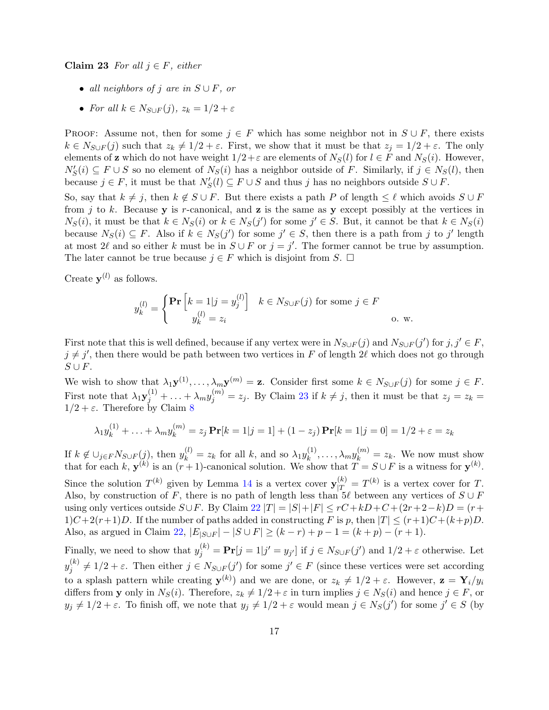Claim 23 For all  $j \in F$ , either

- all neighbors of j are in  $S \cup F$ , or
- For all  $k \in N_{S \cup F}(j)$ ,  $z_k = 1/2 + \varepsilon$

PROOF: Assume not, then for some  $j \in F$  which has some neighbor not in  $S \cup F$ , there exists  $k \in N_{S \cup F}(j)$  such that  $z_k \neq 1/2 + \varepsilon$ . First, we show that it must be that  $z_j = 1/2 + \varepsilon$ . The only elements of **z** which do not have weight  $1/2 + \varepsilon$  are elements of  $N_S(l)$  for  $l \in F$  and  $N_S(i)$ . However,  $N'_{S}(i) \subseteq F \cup S$  so no element of  $N_{S}(i)$  has a neighbor outside of F. Similarly, if  $j \in N_{S}(l)$ , then because  $j \in F$ , it must be that  $N'_{S}(l) \subseteq F \cup S$  and thus j has no neighbors outside  $S \cup F$ .

So, say that  $k \neq j$ , then  $k \notin S \cup F$ . But there exists a path P of length  $\leq \ell$  which avoids  $S \cup F$ from j to k. Because y is r-canonical, and z is the same as y except possibly at the vertices in  $N_S(i)$ , it must be that  $k \in N_S(i)$  or  $k \in N_S(j')$  for some  $j' \in S$ . But, it cannot be that  $k \in N_S(i)$ because  $N_S(i) \subseteq F$ . Also if  $k \in N_S(j')$  for some  $j' \in S$ , then there is a path from j to j' length at most 2 $\ell$  and so either k must be in  $S \cup F$  or  $j = j'$ . The former cannot be true by assumption. The later cannot be true because  $j \in F$  which is disjoint from S.  $\Box$ 

Create  $y^{(l)}$  as follows.

$$
y_k^{(l)} = \begin{cases} \Pr\left[k=1|j=y_j^{(l)}\right] & k \in N_{S \cup F}(j) \text{ for some } j \in F\\ y_k^{(l)} = z_i & \text{o. w.} \end{cases}
$$

First note that this is well defined, because if any vertex were in  $N_{S\cup F}(j)$  and  $N_{S\cup F}(j')$  for  $j, j' \in F$ ,  $j \neq j'$ , then there would be path between two vertices in F of length 2 $\ell$  which does not go through  $S \cup F$ .

We wish to show that  $\lambda_1 \mathbf{y}^{(1)}, \ldots, \lambda_m \mathbf{y}^{(m)} = \mathbf{z}$ . Consider first some  $k \in N_{S \cup F}(j)$  for some  $j \in F$ . First note that  $\lambda_1 \mathbf{y}_j^{(1)} + \ldots + \lambda_m \mathbf{y}_j^{(m)} = z_j$ . By Claim [23](#page-15-0) if  $k \neq j$ , then it must be that  $z_j = z_k =$  $1/2 + \varepsilon$ . Therefore by Claim [8](#page-9-2)

$$
\lambda_1 y_k^{(1)} + \ldots + \lambda_m y_k^{(m)} = z_j \Pr[k=1|j=1] + (1-z_j) \Pr[k=1|j=0] = 1/2 + \varepsilon = z_k
$$

If  $k \notin \bigcup_{j \in F} N_{S \cup F}(j)$ , then  $y_k^{(l)} = z_k$  for all k, and so  $\lambda_1 y_k^{(1)}$  $k_k^{(1)}, \ldots, \lambda_m y_k^{(m)} = z_k$ . We now must show that for each k,  $\mathbf{y}^{(k)}$  is an  $(r+1)$ -canonical solution. We show that  $T = S \cup F$  is a witness for  $\mathbf{y}^{(k)}$ .

Since the solution  $T^{(k)}$  given by Lemma [14](#page-11-0) is a vertex cover  $\mathbf{y}_{|T}^{(k)} = T^{(k)}$  is a vertex cover for T. Also, by construction of F, there is no path of length less than  $5\ell$  between any vertices of  $S \cup F$ using only vertices outside  $S\cup F$ . By Claim [22](#page-15-1)  $|T| = |S| + |F| \leq rC + kD + C + (2r + 2 - k)D = (r + 1)(r + 1)D$  $1)C+2(r+1)D$ . If the number of paths added in constructing F is p, then  $|T| \le (r+1)C+(k+p)D$ . Also, as argued in Claim [22,](#page-15-1)  $|E_{|S\cup F}| - |S\cup F| \ge (k-r) + p - 1 = (k+p) - (r+1)$ .

Finally, we need to show that  $y_j^{(k)} = \Pr[j = 1 | j' = y_{j'}]$  if  $j \in N_{S \cup F}(j')$  and  $1/2 + \varepsilon$  otherwise. Let  $y_i^{(k)}$  $j_j^{(k)} \neq 1/2 + \varepsilon$ . Then either  $j \in N_{S \cup F}(j')$  for some  $j' \in F$  (since these vertices were set according to a splash pattern while creating  $y^{(k)}$  and we are done, or  $z_k \neq 1/2 + \varepsilon$ . However,  $z = Y_i/y_i$ differs from y only in  $N_S(i)$ . Therefore,  $z_k \neq 1/2 + \varepsilon$  in turn implies  $j \in N_S(i)$  and hence  $j \in F$ , or  $y_j \neq 1/2 + \varepsilon$ . To finish off, we note that  $y_j \neq 1/2 + \varepsilon$  would mean  $j \in N_S(j')$  for some  $j' \in S$  (by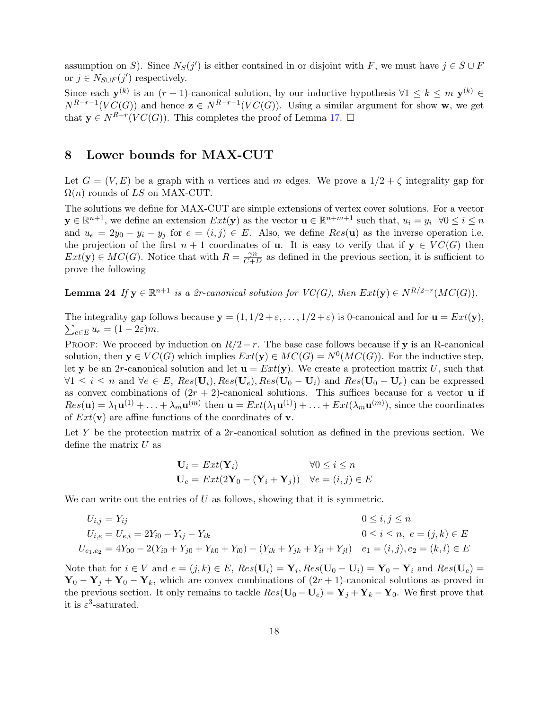assumption on S). Since  $N_S(j')$  is either contained in or disjoint with F, we must have  $j \in S \cup F$ or  $j \in N_{S \cup F}(j')$  respectively.

Since each  $y^{(k)}$  is an  $(r + 1)$ -canonical solution, by our inductive hypothesis  $\forall 1 \leq k \leq m$   $y^{(k)} \in$  $N^{R-r-1}(VC(G))$  and hence  $z \in N^{R-r-1}(VC(G))$ . Using a similar argument for show w, we get that  $y \in N^{R-r}(VC(G))$ . This completes the proof of Lemma [17.](#page-13-0)  $\Box$ 

## 8 Lower bounds for MAX-CUT

Let  $G = (V, E)$  be a graph with n vertices and m edges. We prove a  $1/2 + \zeta$  integrality gap for  $\Omega(n)$  rounds of LS on MAX-CUT.

The solutions we define for MAX-CUT are simple extensions of vertex cover solutions. For a vector  $y \in \mathbb{R}^{n+1}$ , we define an extension  $Ext(y)$  as the vector  $u \in \mathbb{R}^{n+m+1}$  such that,  $u_i = y_i$   $\forall 0 \le i \le n$ and  $u_e = 2y_0 - y_i - y_j$  for  $e = (i, j) \in E$ . Also, we define  $Res(\mathbf{u})$  as the inverse operation i.e. the projection of the first  $n + 1$  coordinates of **u**. It is easy to verify that if  $y \in VC(G)$  then  $Ext(\mathbf{y}) \in MC(G)$ . Notice that with  $R = \frac{\gamma n}{C+1}$  $\frac{\gamma n}{C+D}$  as defined in the previous section, it is sufficient to prove the following

**Lemma 24** If  $y \in \mathbb{R}^{n+1}$  is a 2r-canonical solution for  $VC(G)$ , then  $Ext(y) \in N^{R/2-r}(MC(G))$ .

The integrality gap follows because  $y = (1, 1/2 + \varepsilon, ..., 1/2 + \varepsilon)$  is 0-canonical and for  $u = Ext(y)$ ,  $\sum_{e \in E} u_e = (1 - 2\varepsilon)m$ .

PROOF: We proceed by induction on  $R/2-r$ . The base case follows because if y is an R-canonical solution, then  $y \in VC(G)$  which implies  $Ext(y) \in MC(G) = N^{0}(MC(G))$ . For the inductive step, let y be an 2r-canonical solution and let  $\mathbf{u} = Ext(\mathbf{y})$ . We create a protection matrix U, such that  $\forall 1 \leq i \leq n$  and  $\forall e \in E$ ,  $Res(\mathbf{U}_i)$ ,  $Res(\mathbf{U}_e)$ ,  $Res(\mathbf{U}_0 - \mathbf{U}_i)$  and  $Res(\mathbf{U}_0 - \mathbf{U}_e)$  can be expressed as convex combinations of  $(2r + 2)$ -canonical solutions. This suffices because for a vector **u** if  $Res(\mathbf{u}) = \lambda_1 \mathbf{u}^{(1)} + \ldots + \lambda_m \mathbf{u}^{(m)}$  then  $\mathbf{u} = Ext(\lambda_1 \mathbf{u}^{(1)}) + \ldots + Ext(\lambda_m \mathbf{u}^{(m)})$ , since the coordinates of  $Ext(v)$  are affine functions of the coordinates of v.

Let  $Y$  be the protection matrix of a 2r-canonical solution as defined in the previous section. We define the matrix  $U$  as

$$
\mathbf{U}_i = Ext(\mathbf{Y}_i) \qquad \forall 0 \le i \le n
$$
  

$$
\mathbf{U}_e = Ext(2\mathbf{Y}_0 - (\mathbf{Y}_i + \mathbf{Y}_j)) \quad \forall e = (i, j) \in E
$$

We can write out the entries of  $U$  as follows, showing that it is symmetric.

$$
U_{i,j} = Y_{ij}
$$
  
\n
$$
U_{i,e} = U_{e,i} = 2Y_{i0} - Y_{ij} - Y_{ik}
$$
  
\n
$$
U_{e1,e2} = 4Y_{00} - 2(Y_{i0} + Y_{j0} + Y_{k0} + Y_{l0}) + (Y_{ik} + Y_{jk} + Y_{il} + Y_{jl})
$$
  
\n
$$
0 \le i \le n, e = (j,k) \in E
$$
  
\n
$$
U_{e1,e2} = 4Y_{00} - 2(Y_{i0} + Y_{j0} + Y_{k0} + Y_{l0}) + (Y_{ik} + Y_{jk} + Y_{il} + Y_{jl})
$$
  
\n
$$
e_1 = (i, j), e_2 = (k, l) \in E
$$

Note that for  $i \in V$  and  $e = (j, k) \in E$ ,  $Res(\mathbf{U}_i) = \mathbf{Y}_i$ ,  $Res(\mathbf{U}_0 - \mathbf{U}_i) = \mathbf{Y}_0 - \mathbf{Y}_i$  and  $Res(\mathbf{U}_e) =$  ${\bf Y}_0 - {\bf Y}_j + {\bf Y}_0 - {\bf Y}_k$ , which are convex combinations of  $(2r + 1)$ -canonical solutions as proved in the previous section. It only remains to tackle  $Res(\mathbf{U}_0 - \mathbf{U}_e) = \mathbf{Y}_j + \mathbf{Y}_k - \mathbf{Y}_0$ . We first prove that it is  $\varepsilon^3$ -saturated.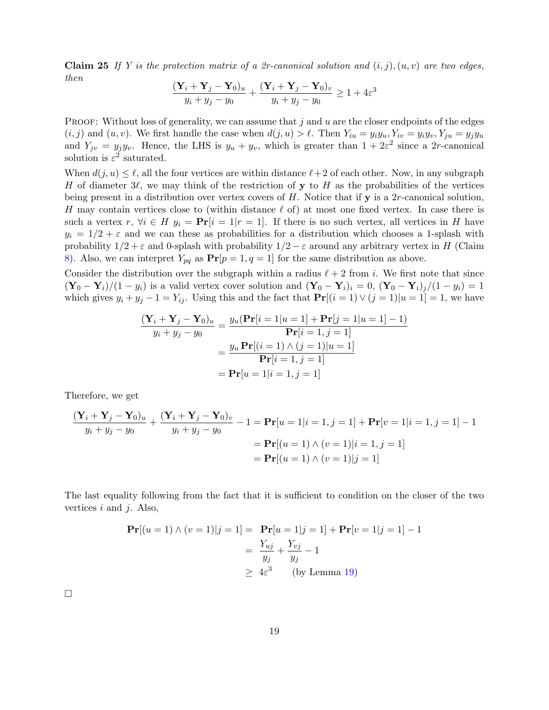**Claim 25** If Y is the protection matrix of a 2r-canonical solution and  $(i, j)$ ,  $(u, v)$  are two edges, then

$$
\frac{(\mathbf{Y}_i + \mathbf{Y}_j - \mathbf{Y}_0)_u}{y_i + y_j - y_0} + \frac{(\mathbf{Y}_i + \mathbf{Y}_j - \mathbf{Y}_0)_v}{y_i + y_j - y_0} \ge 1 + 4\varepsilon^3
$$

PROOF: Without loss of generality, we can assume that  $j$  and  $u$  are the closer endpoints of the edges  $(i, j)$  and  $(u, v)$ . We first handle the case when  $d(j, u) > \ell$ . Then  $Y_{iu} = y_i y_u, Y_{iv} = y_i y_v, Y_{ju} = y_j y_u$ and  $Y_{jv} = y_j y_v$ . Hence, the LHS is  $y_u + y_v$ , which is greater than  $1 + 2\varepsilon^2$  since a 2r-canonical solution is  $\varepsilon^2$  saturated.

When  $d(j, u) \leq \ell$ , all the four vertices are within distance  $\ell + 2$  of each other. Now, in any subgraph H of diameter  $3\ell$ , we may think of the restriction of y to H as the probabilities of the vertices being present in a distribution over vertex covers of  $H$ . Notice that if  $y$  is a 2r-canonical solution, H may contain vertices close to (within distance  $\ell$  of) at most one fixed vertex. In case there is such a vertex  $r, \forall i \in H$   $y_i = \Pr[i = 1 | r = 1].$  If there is no such vertex, all vertices in H have  $y_i = 1/2 + \varepsilon$  and we can these as probabilities for a distribution which chooses a 1-splash with probability  $1/2 + \varepsilon$  and 0-splash with probability  $1/2 - \varepsilon$  around any arbitrary vertex in H (Claim [8\)](#page-9-2). Also, we can interpret  $Y_{pq}$  as  $Pr[p = 1, q = 1]$  for the same distribution as above.

Consider the distribution over the subgraph within a radius  $\ell + 2$  from i. We first note that since  $(\mathbf{Y}_0 - \mathbf{Y}_i)/(1 - y_i)$  is a valid vertex cover solution and  $(\mathbf{Y}_0 - \mathbf{Y}_i)_i = 0$ ,  $(\mathbf{Y}_0 - \mathbf{Y}_i)_j/(1 - y_i) = 1$ which gives  $y_i + y_j - 1 = Y_{ij}$ . Using this and the fact that  $\Pr[(i = 1) \vee (j = 1)|u = 1] = 1$ , we have

$$
\frac{(\mathbf{Y}_i + \mathbf{Y}_j - \mathbf{Y}_0)_u}{y_i + y_j - y_0} = \frac{y_u(\mathbf{Pr}[i = 1 | u = 1] + \mathbf{Pr}[j = 1 | u = 1] - 1)}{\mathbf{Pr}[i = 1, j = 1]}
$$

$$
= \frac{y_u \mathbf{Pr}[(i = 1) \land (j = 1) | u = 1]}{\mathbf{Pr}[i = 1, j = 1]}
$$

$$
= \mathbf{Pr}[u = 1 | i = 1, j = 1]
$$

Therefore, we get

$$
\frac{(\mathbf{Y}_i + \mathbf{Y}_j - \mathbf{Y}_0)_u}{y_i + y_j - y_0} + \frac{(\mathbf{Y}_i + \mathbf{Y}_j - \mathbf{Y}_0)_v}{y_i + y_j - y_0} - 1 = \mathbf{Pr}[u = 1 | i = 1, j = 1] + \mathbf{Pr}[v = 1 | i = 1, j = 1] - 1
$$

$$
= \mathbf{Pr}[(u = 1) \land (v = 1) | i = 1, j = 1]
$$

$$
= \mathbf{Pr}[(u = 1) \land (v = 1) | j = 1]
$$

The last equality following from the fact that it is sufficient to condition on the closer of the two vertices  $i$  and  $j$ . Also,

$$
\begin{aligned} \mathbf{Pr}[(u=1) \land (v=1)|j=1] &= \mathbf{Pr}[u=1|j=1] + \mathbf{Pr}[v=1|j=1] - 1 \\ &= \frac{Y_{uj}}{y_j} + \frac{Y_{vj}}{y_j} - 1 \\ &\geq 4\varepsilon^3 \qquad \text{(by Lemma 19)} \end{aligned}
$$

 $\Box$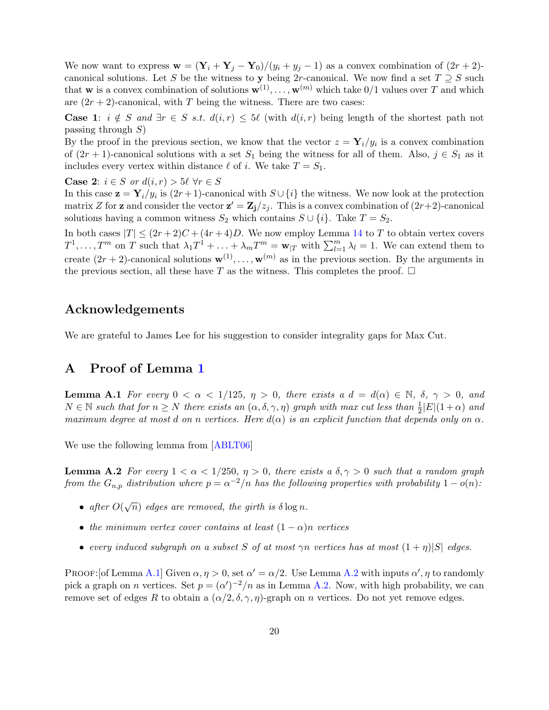<span id="page-19-0"></span>We now want to express  $\mathbf{w} = (\mathbf{Y}_i + \mathbf{Y}_j - \mathbf{Y}_0)/(y_i + y_j - 1)$  as a convex combination of  $(2r + 2)$ canonical solutions. Let S be the witness to y being 2r-canonical. We now find a set  $T \supseteq S$  such that **w** is a convex combination of solutions  $\mathbf{w}^{(1)}, \ldots, \mathbf{w}^{(m)}$  which take  $0/1$  values over T and which are  $(2r + 2)$ -canonical, with T being the witness. There are two cases:

**Case 1:**  $i \notin S$  and  $\exists r \in S$  s.t.  $d(i,r) \leq \frac{5\ell}{r}$  (with  $d(i,r)$  being length of the shortest path not passing through  $S$ )

By the proof in the previous section, we know that the vector  $z = Y_i/y_i$  is a convex combination of  $(2r + 1)$ -canonical solutions with a set  $S_1$  being the witness for all of them. Also,  $j \in S_1$  as it includes every vertex within distance  $\ell$  of i. We take  $T = S_1$ .

**Case 2:**  $i \in S$  or  $d(i,r) > 5\ell$   $\forall r \in S$ 

In this case  $\mathbf{z} = \mathbf{Y}_i/y_i$  is  $(2r+1)$ -canonical with  $S \cup \{i\}$  the witness. We now look at the protection matrix Z for **z** and consider the vector  $\mathbf{z}' = \mathbf{Z}_j/z_j$ . This is a convex combination of  $(2r+2)$ -canonical solutions having a common witness  $S_2$  which contains  $S \cup \{i\}$ . Take  $T = S_2$ .

In both cases  $|T| \leq (2r+2)C + (4r+4)D$ . We now employ Lemma [14](#page-11-0) to T to obtain vertex covers  $T^1, \ldots, T^m$  on T such that  $\lambda_1 T^1 + \ldots + \lambda_m T^m = \mathbf{w}_{|T}$  with  $\sum_{l=1}^m \lambda_l = 1$ . We can extend them to create  $(2r+2)$ -canonical solutions  $\mathbf{w}^{(1)}, \ldots, \mathbf{w}^{(m)}$  as in the previous section. By the arguments in the previous section, all these have T as the witness. This completes the proof.  $\Box$ 

# Acknowledgements

We are grateful to James Lee for his suggestion to consider integrality gaps for Max Cut.

# A Proof of Lemma [1](#page-4-1)

**Lemma A.1** For every  $0 < \alpha < 1/125$ ,  $\eta > 0$ , there exists a  $d = d(\alpha) \in \mathbb{N}$ ,  $\delta$ ,  $\gamma > 0$ , and  $N \in \mathbb{N}$  such that for  $n \geq N$  there exists an  $(\alpha, \delta, \gamma, \eta)$  graph with max cut less than  $\frac{1}{2}|E|(1+\alpha)$  and maximum degree at most d on n vertices. Here  $d(\alpha)$  is an explicit function that depends only on  $\alpha$ .

We use the following lemma from [\[ABLT06\]](#page-24-1)

**Lemma A.2** For every  $1 < \alpha < 1/250$ ,  $\eta > 0$ , there exists a  $\delta, \gamma > 0$  such that a random graph from the  $G_{n,p}$  distribution where  $p = \alpha^{-2}/n$  has the following properties with probability  $1 - o(n)$ :

- after  $O(\sqrt{n})$  edges are removed, the girth is  $\delta \log n$ .
- the minimum vertex cover contains at least  $(1 \alpha)n$  vertices
- every induced subgraph on a subset S of at most  $\gamma n$  vertices has at most  $(1+\eta)|S|$  edges.

PROOF: [of Lemma [A.1\]](#page-4-1) Given  $\alpha, \eta > 0$ , set  $\alpha' = \alpha/2$ . Use Lemma [A.2](#page-5-1) with inputs  $\alpha', \eta$  to randomly pick a graph on *n* vertices. Set  $p = (\alpha')^{-2}/n$  as in Lemma [A.2.](#page-5-1) Now, with high probability, we can remove set of edges R to obtain a  $(\alpha/2, \delta, \gamma, \eta)$ -graph on n vertices. Do not yet remove edges.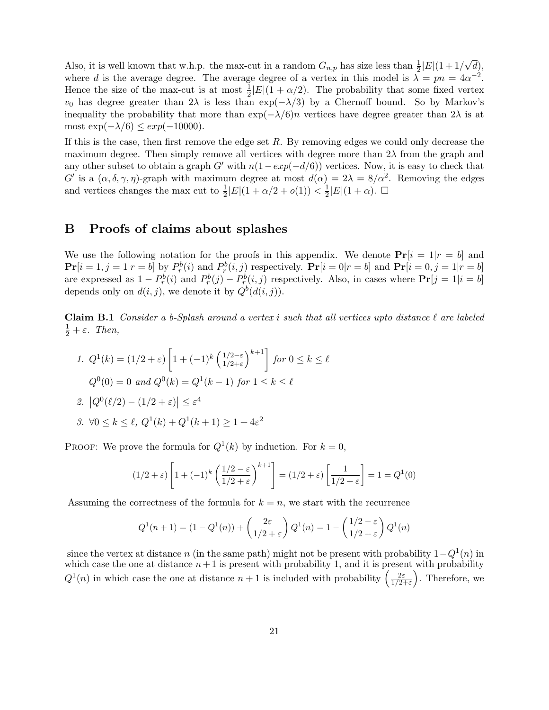Also, it is well known that w.h.p. the max-cut in a random  $G_{n,p}$  has size less than  $\frac{1}{2}|E|(1+1/2)$ √ d), where d is the average degree. The average degree of a vertex in this model is  $\lambda = pn = 4\alpha^{-2}$ . Hence the size of the max-cut is at most  $\frac{1}{2}|E|(1+\alpha/2)$ . The probability that some fixed vertex  $v_0$  has degree greater than  $2\lambda$  is less than  $\exp(-\lambda/3)$  by a Chernoff bound. So by Markov's inequality the probability that more than  $\exp(-\lambda/6)n$  vertices have degree greater than  $2\lambda$  is at most  $\exp(-\lambda/6) \leq exp(-10000)$ .

If this is the case, then first remove the edge set  $R$ . By removing edges we could only decrease the maximum degree. Then simply remove all vertices with degree more than  $2\lambda$  from the graph and any other subset to obtain a graph G' with  $n(1-exp(-d/6))$  vertices. Now, it is easy to check that G' is a  $(\alpha, \delta, \gamma, \eta)$ -graph with maximum degree at most  $d(\alpha) = 2\lambda = 8/\alpha^2$ . Removing the edges and vertices changes the max cut to  $\frac{1}{2}|E|(1 + \alpha/2 + o(1)) < \frac{1}{2}$  $\frac{1}{2}|E|(1+\alpha)$ .  $\Box$ 

## B Proofs of claims about splashes

We use the following notation for the proofs in this appendix. We denote  $Pr[i = 1|r = b]$  and  $\mathbf{Pr}[i=1, j=1 | r=b]$  by  $P_r^b(i)$  and  $P_r^b(i,j)$  respectively.  $\mathbf{Pr}[i=0 | r=b]$  and  $\mathbf{Pr}[i=0, j=1 | r=b]$ are expressed as  $1 - P_r^b(i)$  and  $P_r^b(j) - P_r^b(i,j)$  respectively. Also, in cases where  $\Pr[j = 1 | i = b]$ depends only on  $d(i, j)$ , we denote it by  $Q^b(d(i, j))$ .

Claim B.1 Consider a b-Splash around a vertex i such that all vertices upto distance  $\ell$  are labeled  $rac{1}{2} + \varepsilon$ . Then,

1. 
$$
Q^1(k) = (1/2 + \varepsilon) \left[ 1 + (-1)^k \left( \frac{1/2 - \varepsilon}{1/2 + \varepsilon} \right)^{k+1} \right]
$$
 for  $0 \le k \le \ell$   
\n $Q^0(0) = 0$  and  $Q^0(k) = Q^1(k - 1)$  for  $1 \le k \le \ell$   
\n2.  $|Q^0(\ell/2) - (1/2 + \varepsilon)| \le \varepsilon^4$   
\n3.  $\forall 0 \le k \le \ell$ ,  $Q^1(k) + Q^1(k+1) \ge 1 + 4\varepsilon^2$ 

PROOF: We prove the formula for  $Q^1(k)$  by induction. For  $k = 0$ ,

$$
(1/2 + \varepsilon) \left[ 1 + (-1)^k \left( \frac{1/2 - \varepsilon}{1/2 + \varepsilon} \right)^{k+1} \right] = (1/2 + \varepsilon) \left[ \frac{1}{1/2 + \varepsilon} \right] = 1 = Q^1(0)
$$

Assuming the correctness of the formula for  $k = n$ , we start with the recurrence

$$
Q^{1}(n+1) = (1 - Q^{1}(n)) + \left(\frac{2\varepsilon}{1/2 + \varepsilon}\right) Q^{1}(n) = 1 - \left(\frac{1/2 - \varepsilon}{1/2 + \varepsilon}\right) Q^{1}(n)
$$

since the vertex at distance n (in the same path) might not be present with probability  $1-Q^1(n)$  in which case the one at distance  $n+1$  is present with probability 1, and it is present with probability  $Q^1(n)$  in which case the one at distance  $n+1$  is included with probability  $\left(\frac{2\varepsilon}{1/2}\right)$  $\frac{2\varepsilon}{1/2+\varepsilon}$ . Therefore, we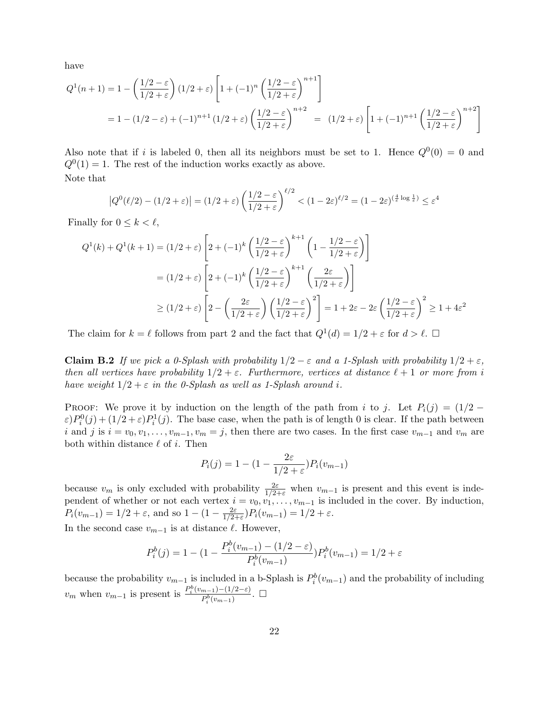have

$$
Q^{1}(n+1) = 1 - \left(\frac{1/2 - \varepsilon}{1/2 + \varepsilon}\right) (1/2 + \varepsilon) \left[1 + (-1)^{n} \left(\frac{1/2 - \varepsilon}{1/2 + \varepsilon}\right)^{n+1}\right]
$$
  
= 1 - (1/2 - \varepsilon) + (-1)^{n+1} (1/2 + \varepsilon) \left(\frac{1/2 - \varepsilon}{1/2 + \varepsilon}\right)^{n+2} = (1/2 + \varepsilon) \left[1 + (-1)^{n+1} \left(\frac{1/2 - \varepsilon}{1/2 + \varepsilon}\right)^{n+2}\right]

Also note that if i is labeled 0, then all its neighbors must be set to 1. Hence  $Q^0(0) = 0$  and  $Q^{0}(1) = 1$ . The rest of the induction works exactly as above. Note that

$$
\left|Q^{0}(\ell/2) - (1/2 + \varepsilon)\right| = (1/2 + \varepsilon) \left(\frac{1/2 - \varepsilon}{1/2 + \varepsilon}\right)^{\ell/2} < (1 - 2\varepsilon)^{\ell/2} = (1 - 2\varepsilon)^{(\frac{4}{\varepsilon}\log\frac{1}{\varepsilon})} \le \varepsilon^{4}
$$

Finally for  $0 \leq k < \ell$ ,

$$
Q^{1}(k) + Q^{1}(k+1) = (1/2 + \varepsilon) \left[ 2 + (-1)^{k} \left( \frac{1/2 - \varepsilon}{1/2 + \varepsilon} \right)^{k+1} \left( 1 - \frac{1/2 - \varepsilon}{1/2 + \varepsilon} \right) \right]
$$
  
=  $(1/2 + \varepsilon) \left[ 2 + (-1)^{k} \left( \frac{1/2 - \varepsilon}{1/2 + \varepsilon} \right)^{k+1} \left( \frac{2\varepsilon}{1/2 + \varepsilon} \right) \right]$   
 $\ge (1/2 + \varepsilon) \left[ 2 - \left( \frac{2\varepsilon}{1/2 + \varepsilon} \right) \left( \frac{1/2 - \varepsilon}{1/2 + \varepsilon} \right)^{2} \right] = 1 + 2\varepsilon - 2\varepsilon \left( \frac{1/2 - \varepsilon}{1/2 + \varepsilon} \right)^{2} \ge 1 + 4\varepsilon^{2}$ 

The claim for  $k = \ell$  follows from part 2 and the fact that  $Q^1(d) = 1/2 + \varepsilon$  for  $d > \ell$ .

**Claim B.2** If we pick a 0-Splash with probability  $1/2 - \varepsilon$  and a 1-Splash with probability  $1/2 + \varepsilon$ , then all vertices have probability  $1/2 + \varepsilon$ . Furthermore, vertices at distance  $\ell + 1$  or more from i have weight  $1/2 + \varepsilon$  in the 0-Splash as well as 1-Splash around i.

PROOF: We prove it by induction on the length of the path from i to j. Let  $P_i(j) = (1/2 - j)$  $\varepsilon$ ) $P_i^0(j) + (1/2 + \varepsilon)P_i^1(j)$ . The base case, when the path is of length 0 is clear. If the path between i and j is  $i = v_0, v_1, \ldots, v_{m-1}, v_m = j$ , then there are two cases. In the first case  $v_{m-1}$  and  $v_m$  are both within distance  $\ell$  of i. Then

$$
P_i(j) = 1 - (1 - \frac{2\varepsilon}{1/2 + \varepsilon}) P_i(v_{m-1})
$$

because  $v_m$  is only excluded with probability  $\frac{2\varepsilon}{1/2+\varepsilon}$  when  $v_{m-1}$  is present and this event is independent of whether or not each vertex  $i = v_0, v_1, \ldots, v_{m-1}$  is included in the cover. By induction,  $P_i(v_{m-1}) = 1/2 + \varepsilon$ , and so  $1 - (1 - \frac{2\varepsilon}{1/2})$  $\frac{2\varepsilon}{1/2+\varepsilon}$ ) $P_i(v_{m-1}) = 1/2 + \varepsilon$ .

In the second case  $v_{m-1}$  is at distance  $\ell$ . However,

$$
P_i^b(j) = 1 - (1 - \frac{P_i^b(v_{m-1}) - (1/2 - \varepsilon)}{P_i^b(v_{m-1})} P_i^b(v_{m-1}) = 1/2 + \varepsilon
$$

because the probability  $v_{m-1}$  is included in a b-Splash is  $P_i^b(v_{m-1})$  and the probability of including  $v_m$  when  $v_{m-1}$  is present is  $\frac{P_i^b(v_{m-1})-(1/2-\varepsilon)}{P_b^b(v_{m-1})}$  $\frac{m-1)-(1/2-\varepsilon)}{P_i^b(v_{m-1})}$ . □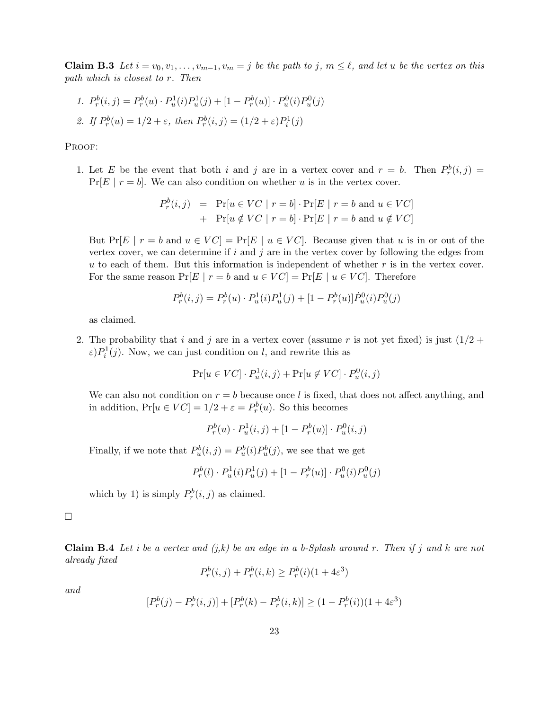**Claim B.3** Let  $i = v_0, v_1, \ldots, v_{m-1}, v_m = j$  be the path to j,  $m \leq \ell$ , and let u be the vertex on this path which is closest to r. Then

1. 
$$
P_r^b(i, j) = P_r^b(u) \cdot P_u^1(i) P_u^1(j) + [1 - P_r^b(u)] \cdot P_u^0(i) P_u^0(j)
$$
  
2. If  $P_r^b(u) = 1/2 + \varepsilon$ , then  $P_r^b(i, j) = (1/2 + \varepsilon) P_i^1(j)$ 

PROOF:

1. Let E be the event that both i and j are in a vertex cover and  $r = b$ . Then  $P_r^b(i,j) =$  $Pr[E | r = b]$ . We can also condition on whether u is in the vertex cover.

$$
P_r^b(i,j) = \Pr[u \in VC \mid r = b] \cdot \Pr[E \mid r = b \text{ and } u \in VC] + \Pr[u \notin VC \mid r = b] \cdot \Pr[E \mid r = b \text{ and } u \notin VC]
$$

But Pr[E |  $r = b$  and  $u \in VC$ ] = Pr[E |  $u \in VC$ ]. Because given that u is in or out of the vertex cover, we can determine if i and j are in the vertex cover by following the edges from u to each of them. But this information is independent of whether  $r$  is in the vertex cover. For the same reason  $Pr[E | r = b \text{ and } u \in VC] = Pr[E | u \in VC]$ . Therefore

$$
P_r^b(i,j) = P_r^b(u) \cdot P_u^1(i) P_u^1(j) + [1 - P_r^b(u)] \dot{P}_u^0(i) P_u^0(j)
$$

as claimed.

2. The probability that i and j are in a vertex cover (assume r is not yet fixed) is just  $(1/2 +$  $\varepsilon$ ) $P_i^1(j)$ . Now, we can just condition on l, and rewrite this as

$$
\Pr[u \in VC] \cdot P_u^1(i,j) + \Pr[u \notin VC] \cdot P_u^0(i,j)
$$

We can also not condition on  $r = b$  because once l is fixed, that does not affect anything, and in addition,  $Pr[u \in VC] = 1/2 + \varepsilon = P_r^b(u)$ . So this becomes

 $P_r^b(u) \cdot P_u^1(i,j) + [1 - P_r^b(u)] \cdot P_u^0(i,j)$ 

Finally, if we note that  $P_u^b(i, j) = P_u^b(i) P_u^b(j)$ , we see that we get

$$
P_r^b(l) \cdot P_u^1(i)P_u^1(j) + [1 - P_r^b(u)] \cdot P_u^0(i)P_u^0(j)
$$

which by 1) is simply  $P_r^b(i, j)$  as claimed.

 $\Box$ 

**Claim B.4** Let i be a vertex and  $(j,k)$  be an edge in a b-Splash around r. Then if j and k are not already fixed

$$
P_r^b(i,j) + P_r^b(i,k) \ge P_r^b(i)(1+4\varepsilon^3)
$$

and

$$
[P_r^b(j) - P_r^b(i,j)] + [P_r^b(k) - P_r^b(i,k)] \ge (1 - P_r^b(i))(1 + 4\varepsilon^3)
$$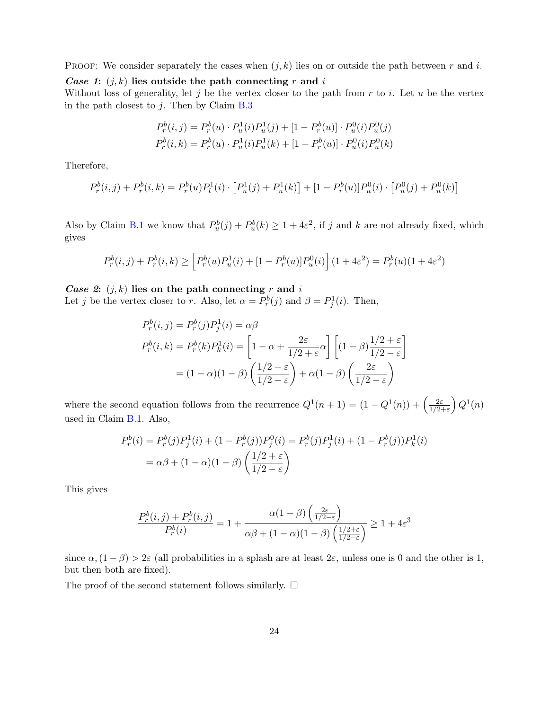PROOF: We consider separately the cases when  $(j, k)$  lies on or outside the path between r and i.

Case 1:  $(j, k)$  lies outside the path connecting r and i

Without loss of generality, let j be the vertex closer to the path from  $r$  to  $i$ . Let  $u$  be the vertex in the path closest to  $j$ . Then by Claim [B.3](#page-5-2)

$$
P_r^b(i,j) = P_r^b(u) \cdot P_u^1(i) P_u^1(j) + [1 - P_r^b(u)] \cdot P_u^0(i) P_u^0(j)
$$
  

$$
P_r^b(i,k) = P_r^b(u) \cdot P_u^1(i) P_u^1(k) + [1 - P_r^b(u)] \cdot P_u^0(i) P_u^0(k)
$$

Therefore,

$$
P_r^b(i,j) + P_r^b(i,k) = P_r^b(u)P_l^1(i) \cdot [P_u^1(j) + P_u^1(k)] + [1 - P_r^b(u)]P_u^0(i) \cdot [P_u^0(j) + P_u^0(k)]
$$

Also by Claim [B.1](#page-4-1) we know that  $P_u^b(j) + P_u^b(k) \geq 1 + 4\varepsilon^2$ , if j and k are not already fixed, which gives

$$
P_r^b(i,j) + P_r^b(i,k) \ge \left[ P_r^b(u) P_u^1(i) + [1 - P_r^b(u)] P_u^0(i) \right] (1 + 4\varepsilon^2) = P_r^b(u) (1 + 4\varepsilon^2)
$$

Case 2:  $(j, k)$  lies on the path connecting r and i Let j be the vertex closer to r. Also, let  $\alpha = P_r^b(j)$  and  $\beta = P_j^1(i)$ . Then,

$$
P_r^b(i,j) = P_r^b(j)P_j^1(i) = \alpha \beta
$$
  
\n
$$
P_r^b(i,k) = P_r^b(k)P_k^1(i) = \left[1 - \alpha + \frac{2\varepsilon}{1/2 + \varepsilon}\alpha\right] \left[(1 - \beta)\frac{1/2 + \varepsilon}{1/2 - \varepsilon}\right]
$$
  
\n
$$
= (1 - \alpha)(1 - \beta)\left(\frac{1/2 + \varepsilon}{1/2 - \varepsilon}\right) + \alpha(1 - \beta)\left(\frac{2\varepsilon}{1/2 - \varepsilon}\right)
$$

where the second equation follows from the recurrence  $Q^1(n+1) = (1 - Q^1(n)) + \left(\frac{2\varepsilon}{1/2}\right)$  $\frac{2\varepsilon}{1/2+\varepsilon}\Big)\,Q^1(n)$ used in Claim [B.1.](#page-4-1) Also,

$$
P_r^b(i) = P_r^b(j)P_j^1(i) + (1 - P_r^b(j))P_j^0(i) = P_r^b(j)P_j^1(i) + (1 - P_r^b(j))P_k^1(i)
$$
  
=  $\alpha\beta + (1 - \alpha)(1 - \beta)\left(\frac{1/2 + \varepsilon}{1/2 - \varepsilon}\right)$ 

This gives

$$
\frac{P_r^b(i,j) + P_r^b(i,j)}{P_r^b(i)} = 1 + \frac{\alpha(1-\beta)\left(\frac{2\varepsilon}{1/2-\varepsilon}\right)}{\alpha\beta + (1-\alpha)(1-\beta)\left(\frac{1/2+\varepsilon}{1/2-\varepsilon}\right)} \ge 1 + 4\varepsilon^3
$$

since  $\alpha$ ,  $(1 - \beta) > 2\varepsilon$  (all probabilities in a splash are at least  $2\varepsilon$ , unless one is 0 and the other is 1, but then both are fixed).

The proof of the second statement follows similarly.  $\square$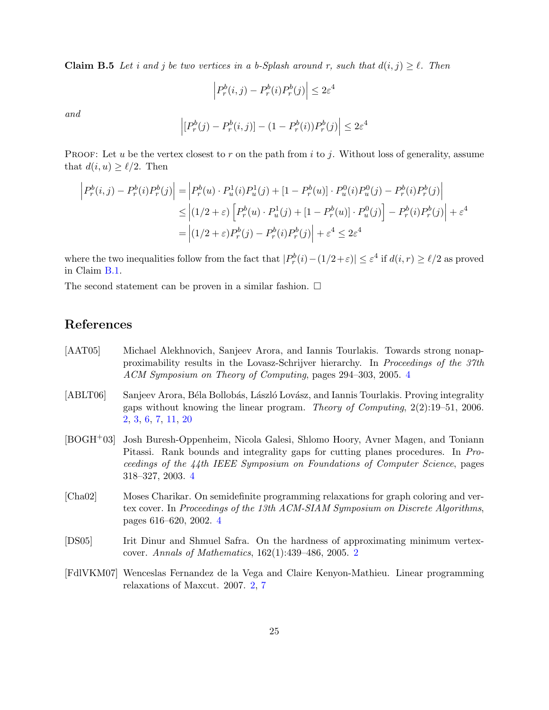**Claim B.5** Let i and j be two vertices in a b-Splash around r, such that  $d(i, j) \geq \ell$ . Then

$$
\left| P_r^b(i,j) - P_r^b(i) P_r^b(j) \right| \le 2\varepsilon^4
$$

and

$$
\left| [P_r^b(j) - P_r^b(i,j)] - (1 - P_r^b(i))P_r^b(j) \right| \le 2\varepsilon^4
$$

**PROOF:** Let u be the vertex closest to r on the path from i to j. Without loss of generality, assume that  $d(i, u) \geq \ell/2$ . Then

$$
\begin{aligned}\n\left| P_r^b(i,j) - P_r^b(i)P_r^b(j) \right| &= \left| P_r^b(u) \cdot P_u^1(i)P_u^1(j) + [1 - P_r^b(u)] \cdot P_u^0(i)P_u^0(j) - P_r^b(i)P_r^b(j) \right| \\
&\leq \left| (1/2 + \varepsilon) \left[ P_r^b(u) \cdot P_u^1(j) + [1 - P_r^b(u)] \cdot P_u^0(j) \right] - P_r^b(i)P_r^b(j) \right| + \varepsilon^4 \\
&= \left| (1/2 + \varepsilon) P_r^b(j) - P_r^b(i)P_r^b(j) \right| + \varepsilon^4 \leq 2\varepsilon^4\n\end{aligned}
$$

where the two inequalities follow from the fact that  $|P_r^b(i) - (1/2 + \varepsilon)| \leq \varepsilon^4$  if  $d(i, r) \geq \ell/2$  as proved in Claim [B.1.](#page-4-1)

The second statement can be proven in a similar fashion.  $\Box$ 

# References

- <span id="page-24-4"></span>[AAT05] Michael Alekhnovich, Sanjeev Arora, and Iannis Tourlakis. Towards strong nonapproximability results in the Lovasz-Schrijver hierarchy. In Proceedings of the 37th ACM Symposium on Theory of Computing, pages 294–303, 2005. [4](#page-3-0)
- <span id="page-24-1"></span>[ABLT06] Sanjeev Arora, Béla Bollobás, László Lovász, and Iannis Tourlakis. Proving integrality gaps without knowing the linear program. Theory of Computing, 2(2):19–51, 2006. [2,](#page-1-1) [3,](#page-2-1) [6,](#page-5-3) [7,](#page-6-0) [11,](#page-10-2) [20](#page-19-0)
- <span id="page-24-3"></span>[BOGH+03] Josh Buresh-Oppenheim, Nicola Galesi, Shlomo Hoory, Avner Magen, and Toniann Pitassi. Rank bounds and integrality gaps for cutting planes procedures. In Proceedings of the 44th IEEE Symposium on Foundations of Computer Science, pages 318–327, 2003. [4](#page-3-0)
- <span id="page-24-5"></span>[Cha02] Moses Charikar. On semidefinite programming relaxations for graph coloring and vertex cover. In Proceedings of the 13th ACM-SIAM Symposium on Discrete Algorithms, pages 616–620, 2002. [4](#page-3-0)
- <span id="page-24-0"></span>[DS05] Irit Dinur and Shmuel Safra. On the hardness of approximating minimum vertexcover. Annals of Mathematics, 162(1):439–486, 2005. [2](#page-1-1)
- <span id="page-24-2"></span>[FdlVKM07] Wenceslas Fernandez de la Vega and Claire Kenyon-Mathieu. Linear programming relaxations of Maxcut. 2007. [2,](#page-1-1) [7](#page-6-0)